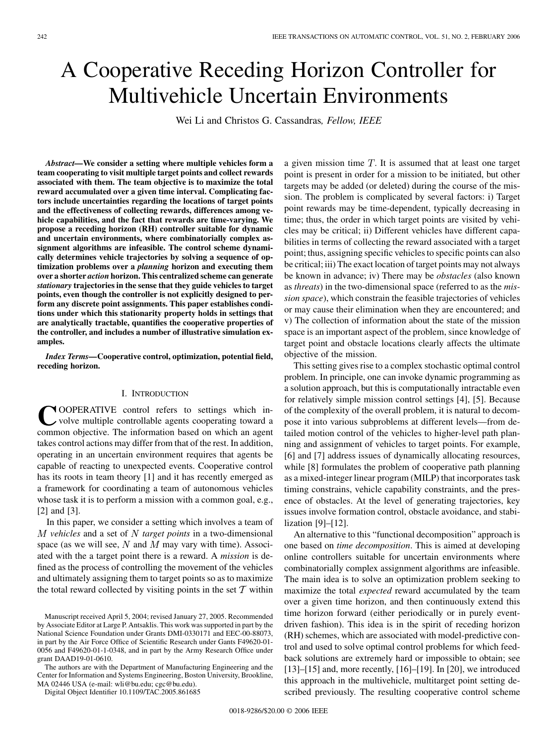# A Cooperative Receding Horizon Controller for Multivehicle Uncertain Environments

Wei Li and Christos G. Cassandras*, Fellow, IEEE*

*Abstract—***We consider a setting where multiple vehicles form a team cooperating to visit multiple target points and collect rewards associated with them. The team objective is to maximize the total reward accumulated over a given time interval. Complicating factors include uncertainties regarding the locations of target points and the effectiveness of collecting rewards, differences among vehicle capabilities, and the fact that rewards are time-varying. We propose a receding horizon (RH) controller suitable for dynamic and uncertain environments, where combinatorially complex assignment algorithms are infeasible. The control scheme dynamically determines vehicle trajectories by solving a sequence of optimization problems over a** *planning* **horizon and executing them over a shorter** *action* **horizon. This centralized scheme can generate** *stationary* **trajectories in the sense that they guide vehicles to target points, even though the controller is not explicitly designed to perform any discrete point assignments. This paper establishes conditions under which this stationarity property holds in settings that are analytically tractable, quantifies the cooperative properties of the controller, and includes a number of illustrative simulation examples.**

*Index Terms—***Cooperative control, optimization, potential field, receding horizon.**

## I. INTRODUCTION

COOPERATIVE control refers to settings which in-<br>volve multiple controllable agents cooperating toward a<br>common chiestive. The information based on which an exam common objective. The information based on which an agent takes control actions may differ from that of the rest. In addition, operating in an uncertain environment requires that agents be capable of reacting to unexpected events. Cooperative control has its roots in team theory [\[1](#page-15-0)] and it has recently emerged as a framework for coordinating a team of autonomous vehicles whose task it is to perform a mission with a common goal, e.g., [[2\]](#page-15-0) and [[3\]](#page-15-0).

In this paper, we consider a setting which involves a team of *vehicles* and a set of *target points* in a two-dimensional space (as we will see,  $N$  and  $M$  may vary with time). Associated with the a target point there is a reward. A *mission* is defined as the process of controlling the movement of the vehicles and ultimately assigning them to target points so as to maximize the total reward collected by visiting points in the set  $T$  within

The authors are with the Department of Manufacturing Engineering and the Center for Information and Systems Engineering, Boston University, Brookline, MA 02446 USA (e-mail: wli@bu.edu; cgc@bu.edu).

Digital Object Identifier 10.1109/TAC.2005.861685

a given mission time  $T$ . It is assumed that at least one target point is present in order for a mission to be initiated, but other targets may be added (or deleted) during the course of the mission. The problem is complicated by several factors: i) Target point rewards may be time-dependent, typically decreasing in time; thus, the order in which target points are visited by vehicles may be critical; ii) Different vehicles have different capabilities in terms of collecting the reward associated with a target point; thus, assigning specific vehicles to specific points can also be critical; iii) The exact location of target points may not always be known in advance; iv) There may be *obstacles* (also known as *threats*) in the two-dimensional space (referred to as the *mission space*), which constrain the feasible trajectories of vehicles or may cause their elimination when they are encountered; and v) The collection of information about the state of the mission space is an important aspect of the problem, since knowledge of target point and obstacle locations clearly affects the ultimate objective of the mission.

This setting gives rise to a complex stochastic optimal control problem. In principle, one can invoke dynamic programming as a solution approach, but this is computationally intractable even for relatively simple mission control settings [\[4](#page-15-0)], [[5\]](#page-15-0). Because of the complexity of the overall problem, it is natural to decompose it into various subproblems at different levels—from detailed motion control of the vehicles to higher-level path planning and assignment of vehicles to target points. For example, [[6\]](#page-15-0) and [[7\]](#page-15-0) address issues of dynamically allocating resources, while [[8\]](#page-15-0) formulates the problem of cooperative path planning as a mixed-integer linear program (MILP) that incorporates task timing constrains, vehicle capability constraints, and the presence of obstacles. At the level of generating trajectories, key issues involve formation control, obstacle avoidance, and stabilization [[9\]](#page-15-0)–[\[12](#page-15-0)].

An alternative to this "functional decomposition" approach is one based on *time decomposition*. This is aimed at developing online controllers suitable for uncertain environments where combinatorially complex assignment algorithms are infeasible. The main idea is to solve an optimization problem seeking to maximize the total *expected* reward accumulated by the team over a given time horizon, and then continuously extend this time horizon forward (either periodically or in purely eventdriven fashion). This idea is in the spirit of receding horizon (RH) schemes, which are associated with model-predictive control and used to solve optimal control problems for which feedback solutions are extremely hard or impossible to obtain; see [[13\]](#page-15-0)–[[15](#page-15-0)] and, more recently, [\[16](#page-15-0)]–[[19\]](#page-15-0). In [[20\]](#page-15-0), we introduced this approach in the multivehicle, multitarget point setting described previously. The resulting cooperative control scheme

Manuscript received April 5, 2004; revised January 27, 2005. Recommended by Associate Editor at Large P. Antsaklis. This work was supported in part by the National Science Foundation under Grants DMI-0330171 and EEC-00-88073, in part by the Air Force Office of Scientific Research under Gants F49620-01- 0056 and F49620-01-1-0348, and in part by the Army Research Office under grant DAAD19-01-0610.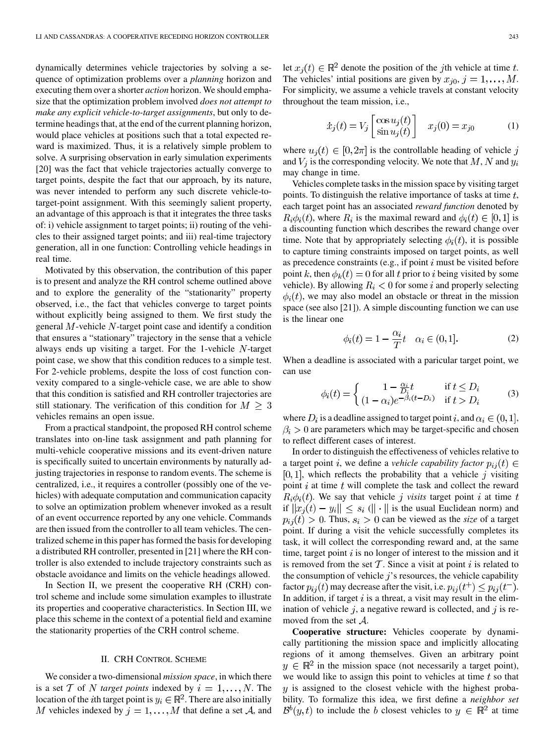dynamically determines vehicle trajectories by solving a sequence of optimization problems over a *planning* horizon and executing them over a shorter *action* horizon. We should emphasize that the optimization problem involved *does not attempt to make any explicit vehicle-to-target assignments*, but only to determine headings that, at the end of the current planning horizon, would place vehicles at positions such that a total expected reward is maximized. Thus, it is a relatively simple problem to solve. A surprising observation in early simulation experiments [\[20](#page-15-0)] was the fact that vehicle trajectories actually converge to target points, despite the fact that our approach, by its nature, was never intended to perform any such discrete vehicle-totarget-point assignment. With this seemingly salient property, an advantage of this approach is that it integrates the three tasks of: i) vehicle assignment to target points; ii) routing of the vehicles to their assigned target points; and iii) real-time trajectory generation, all in one function: Controlling vehicle headings in real time.

Motivated by this observation, the contribution of this paper is to present and analyze the RH control scheme outlined above and to explore the generality of the "stationarity" property observed, i.e., the fact that vehicles converge to target points without explicitly being assigned to them. We first study the general  $M$ -vehicle  $N$ -target point case and identify a condition that ensures a "stationary" trajectory in the sense that a vehicle always ends up visiting a target. For the 1-vehicle  $N$ -target point case, we show that this condition reduces to a simple test. For 2-vehicle problems, despite the loss of cost function convexity compared to a single-vehicle case, we are able to show that this condition is satisfied and RH controller trajectories are still stationary. The verification of this condition for  $M \geq 3$ vehicles remains an open issue.

From a practical standpoint, the proposed RH control scheme translates into on-line task assignment and path planning for multi-vehicle cooperative missions and its event-driven nature is specifically suited to uncertain environments by naturally adjusting trajectories in response to random events. The scheme is centralized, i.e., it requires a controller (possibly one of the vehicles) with adequate computation and communication capacity to solve an optimization problem whenever invoked as a result of an event occurrence reported by any one vehicle. Commands are then issued from the controller to all team vehicles. The centralized scheme in this paper has formed the basis for developing a distributed RH controller, presented in [\[21](#page-15-0)] where the RH controller is also extended to include trajectory constraints such as obstacle avoidance and limits on the vehicle headings allowed.

In Section II, we present the cooperative RH (CRH) control scheme and include some simulation examples to illustrate its properties and cooperative characteristics. In Section III, we place this scheme in the context of a potential field and examine the stationarity properties of the CRH control scheme.

#### II. CRH CONTROL SCHEME

We consider a two-dimensional *mission space*, in which there is a set T of N target points indexed by  $i = 1, \ldots, N$ . The location of the *i*th target point is  $y_i \in \mathbb{R}^2$ . There are also initially M vehicles indexed by  $j = 1, \ldots, M$  that define a set A, and

let  $x_i(t) \in \mathbb{R}^2$  denote the position of the *j*th vehicle at time t. The vehicles' intial positions are given by  $x_{i0}$ ,  $j = 1, ..., M$ . For simplicity, we assume a vehicle travels at constant velocity throughout the team mission, i.e.,

$$
\dot{x}_j(t) = V_j \begin{bmatrix} \cos u_j(t) \\ \sin u_j(t) \end{bmatrix} \quad x_j(0) = x_{j0} \tag{1}
$$

where  $u_i(t) \in [0, 2\pi]$  is the controllable heading of vehicle j and  $V_i$  is the corresponding velocity. We note that  $M$ ,  $N$  and  $y_i$ may change in time.

Vehicles complete tasks in the mission space by visiting target points. To distinguish the relative importance of tasks at time  $t$ , each target point has an associated *reward function* denoted by  $R_i \phi_i(t)$ , where  $R_i$  is the maximal reward and  $\phi_i(t) \in [0,1]$  is a discounting function which describes the reward change over time. Note that by appropriately selecting  $\phi_i(t)$ , it is possible to capture timing constraints imposed on target points, as well as precedence constraints (e.g., if point  $i$  must be visited before point k, then  $\phi_k(t) = 0$  for all t prior to i being visited by some vehicle). By allowing  $R_i < 0$  for some i and properly selecting  $\phi_i(t)$ , we may also model an obstacle or threat in the mission space (see also [\[21](#page-15-0)]). A simple discounting function we can use is the linear one

$$
\phi_i(t) = 1 - \frac{\alpha_i}{T}t \quad \alpha_i \in (0, 1]. \tag{2}
$$

When a deadline is associated with a paricular target point, we can use

$$
\phi_i(t) = \begin{cases}\n1 - \frac{\alpha_i}{D_i} t & \text{if } t \le D_i \\
(1 - \alpha_i) e^{-\beta_i (t - D_i)} & \text{if } t > D_i\n\end{cases}
$$
\n(3)

where  $D_i$  is a deadline assigned to target point i, and  $\alpha_i \in (0,1]$ ,  $\beta_i > 0$  are parameters which may be target-specific and chosen to reflect different cases of interest.

In order to distinguish the effectiveness of vehicles relative to a target point *i*, we define a *vehicle capability factor*  $p_{ij}(t) \in$ [0,1], which reflects the probability that a vehicle j visiting point  $i$  at time  $t$  will complete the task and collect the reward  $R_i\phi_i(t)$ . We say that vehicle *j* visits target point *i* at time *t* if  $||x_i(t) - y_i|| \leq s_i$  ( $|| \cdot ||$  is the usual Euclidean norm) and  $p_{ij}(t) > 0$ . Thus,  $s_i > 0$  can be viewed as the *size* of a target point. If during a visit the vehicle successfully completes its task, it will collect the corresponding reward and, at the same time, target point  $i$  is no longer of interest to the mission and it is removed from the set  $T$ . Since a visit at point i is related to the consumption of vehicle  $i$ 's resources, the vehicle capability factor  $p_{ij}(t)$  may decrease after the visit, i.e.  $p_{ij}(t^+) \leq p_{ij}(t^-)$ . In addition, if target  $i$  is a threat, a visit may result in the elimination of vehicle  $j$ , a negative reward is collected, and  $j$  is removed from the set  $A$ .

**Cooperative structure:** Vehicles cooperate by dynamically partitioning the mission space and implicitly allocating regions of it among themselves. Given an arbitrary point  $y \in \mathbb{R}^2$  in the mission space (not necessarily a target point), we would like to assign this point to vehicles at time  $t$  so that  $y$  is assigned to the closest vehicle with the highest probability. To formalize this idea, we first define a *neighbor set*  $\mathcal{B}^b(y,t)$  to include the b closest vehicles to  $y \in \mathbb{R}^2$  at time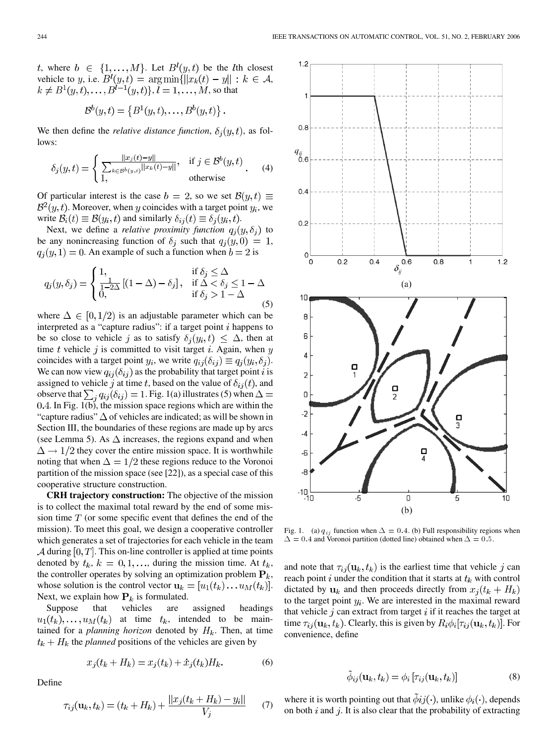t, where  $b \in \{1, ..., M\}$ . Let  $B^l(y, t)$  be the lth closest vehicle to y, i.e.  $B^l(y,t) = \arg \min \{ ||x_k(t) - y|| : k \in \mathcal{A},$  $k \neq B^1(y,t), \ldots, B^{l-1}(y,t)$ ,  $l = 1, \ldots, M$ , so that

$$
\mathcal{B}^b(y,t) = \left\{ B^1(y,t), \ldots, B^b(y,t) \right\}.
$$

We then define the *relative distance function*,  $\delta_i(y, t)$ , as follows:

$$
\delta_j(y,t) = \begin{cases} \frac{\|x_j(t) - y\|}{\sum_{k \in \mathcal{B}^b(y,t)} \|x_k(t) - y\|}, & \text{if } j \in \mathcal{B}^b(y,t) \\ 1, & \text{otherwise} \end{cases}
$$
 (4)

Of particular interest is the case  $b = 2$ , so we set  $\mathcal{B}(y, t) \equiv$  $\mathcal{B}^2(y,t)$ . Moreover, when y coincides with a target point  $y_i$ , we write  $B_i(t) \equiv B(y_i, t)$  and similarly  $\delta_{ij}(t) \equiv \delta_j(y_i, t)$ .

Next, we define a *relative proximity function*  $q_i(y, \delta_i)$  to be any nonincreasing function of  $\delta_j$  such that  $q_j(y,0) = 1$ ,  $q_i(y, 1) = 0$ . An example of such a function when  $b = 2$  is

$$
q_j(y, \delta_j) = \begin{cases} 1, & \text{if } \delta_j \leq \Delta \\ \frac{1}{1 - 2\Delta} \left[ (1 - \Delta) - \delta_j \right], & \text{if } \Delta < \delta_j \leq 1 - \Delta \\ 0, & \text{if } \delta_j > 1 - \Delta \end{cases}
$$
(5)

where  $\Delta \in [0, 1/2)$  is an adjustable parameter which can be interpreted as a "capture radius": if a target point  $i$  happens to be so close to vehicle j as to satisfy  $\delta_i(y_i, t) \leq \Delta$ , then at time t vehicle  $j$  is committed to visit target  $i$ . Again, when  $y$ coincides with a target point  $y_i$ , we write  $q_{ij}(\delta_{ij}) \equiv q_j(y_i, \delta_j)$ . We can now view  $q_{ij}(\delta_{ij})$  as the probability that target point i is assigned to vehicle j at time t, based on the value of  $\delta_{ij}(t)$ , and observe that  $\sum_{i} q_{ij}(\delta_{ij}) = 1$ . Fig. 1(a) illustrates (5) when  $\Delta =$ . In Fig. 1(b), the mission space regions which are within the "capture radius"  $\Delta$  of vehicles are indicated; as will be shown in Section III, the boundaries of these regions are made up by arcs (see Lemma 5). As  $\Delta$  increases, the regions expand and when  $\Delta \rightarrow 1/2$  they cover the entire mission space. It is worthwhile noting that when  $\Delta = 1/2$  these regions reduce to the Voronoi partition of the mission space (see [[22\]](#page-15-0)), as a special case of this cooperative structure construction.

**CRH trajectory construction:** The objective of the mission is to collect the maximal total reward by the end of some mission time  $T$  (or some specific event that defines the end of the mission). To meet this goal, we design a cooperative controller which generates a set of trajectories for each vehicle in the team A during  $[0, T]$ . This on-line controller is applied at time points denoted by  $t_k$ ,  $k = 0, 1, \ldots$ , during the mission time. At  $t_k$ , the controller operates by solving an optimization problem  $P_k$ , whose solution is the control vector  $\mathbf{u}_k = [u_1(t_k) \dots u_M(t_k)].$ Next, we explain how  $P_k$  is formulated.

Suppose that vehicles are assigned headings  $u_1(t_k), \ldots, u_M(t_k)$  at time  $t_k$ , intended to be maintained for a *planning horizon* denoted by  $H_k$ . Then, at time  $t_k + H_k$  the *planned* positions of the vehicles are given by

$$
x_j(t_k + H_k) = x_j(t_k) + \dot{x}_j(t_k)H_k.
$$
 (6)

Define

$$
\tau_{ij}(\mathbf{u}_k, t_k) = (t_k + H_k) + \frac{||x_j(t_k + H_k) - y_i||}{V_j} \tag{7}
$$



Fig. 1. (a)  $q_{ij}$  function when  $\Delta = 0.4$ . (b) Full responsibility regions when  $\Delta = 0.4$  and Voronoi partition (dotted line) obtained when  $\Delta = 0.5$ .

and note that  $\tau_{ij}(\mathbf{u}_k, t_k)$  is the earliest time that vehicle j can reach point i under the condition that it starts at  $t_k$  with control dictated by  $\mathbf{u}_k$  and then proceeds directly from  $x_j(t_k + H_k)$ to the target point  $y_i$ . We are interested in the maximal reward that vehicle  $j$  can extract from target  $i$  if it reaches the target at time  $\tau_{ij}(\mathbf{u}_k, t_k)$ . Clearly, this is given by  $R_i \phi_i[\tau_{ij}(\mathbf{u}_k, t_k)]$ . For convenience, define

$$
\tilde{\phi}_{ij}(\mathbf{u}_k, t_k) = \phi_i \left[ \tau_{ij}(\mathbf{u}_k, t_k) \right] \tag{8}
$$

where it is worth pointing out that  $\phi_{ij}(\cdot)$ , unlike  $\phi_i(\cdot)$ , depends on both  $i$  and  $j$ . It is also clear that the probability of extracting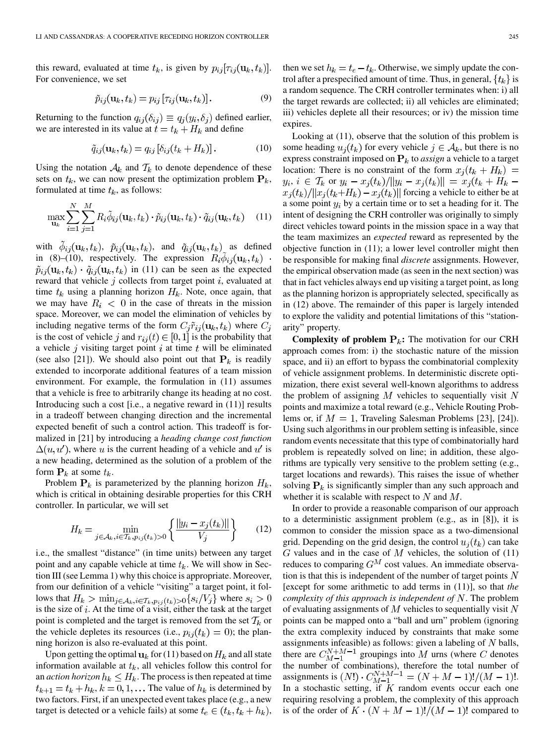this reward, evaluated at time  $t_k$ , is given by  $p_{ij}[\tau_{ij}(\mathbf{u}_k, t_k)].$ For convenience, we set

$$
\tilde{p}_{ij}(\mathbf{u}_k, t_k) = p_{ij} \left[ \tau_{ij}(\mathbf{u}_k, t_k) \right]. \tag{9}
$$

Returning to the function  $q_{ij}(\delta_{ij}) \equiv q_j(y_i, \delta_j)$  defined earlier, we are interested in its value at  $t = t_k + H_k$  and define

$$
\tilde{q}_{ij}(\mathbf{u}_k, t_k) = q_{ij} \left[ \delta_{ij}(t_k + H_k) \right]. \tag{10}
$$

Using the notation  $A_k$  and  $T_k$  to denote dependence of these sets on  $t_k$ , we can now present the optimization problem  $\mathbf{P}_k$ , formulated at time  $t_k$ , as follows:

$$
\max_{\mathbf{u}_k} \sum_{i=1}^N \sum_{j=1}^M R_i \tilde{\phi}_{ij}(\mathbf{u}_k, t_k) \cdot \tilde{p}_{ij}(\mathbf{u}_k, t_k) \cdot \tilde{q}_{ij}(\mathbf{u}_k, t_k)
$$
 (11)

with  $\phi_{ij}(\mathbf{u}_k, t_k)$ ,  $\tilde{p}_{ij}(\mathbf{u}_k, t_k)$ , and  $\tilde{q}_{ij}(\mathbf{u}_k, t_k)$  as defined in (8)–(10), respectively. The expression  $\tilde{p}_{ij}(\mathbf{u}_k, t_k) \cdot \tilde{q}_{ij}(\mathbf{u}_k, t_k)$  in (11) can be seen as the expected reward that vehicle  $j$  collects from target point  $i$ , evaluated at time  $t_k$  using a planning horizon  $H_k$ . Note, once again, that we may have  $R_i < 0$  in the case of threats in the mission space. Moreover, we can model the elimination of vehicles by including negative terms of the form  $C_j \tilde{r}_{ij}(\mathbf{u}_k, t_k)$  where  $C_j$ is the cost of vehicle j and  $r_{ij}(t) \in [0,1]$  is the probability that a vehicle  $j$  visiting target point  $i$  at time  $t$  will be eliminated (see also [[21\]](#page-15-0)). We should also point out that  $P_k$  is readily extended to incorporate additional features of a team mission environment. For example, the formulation in (11) assumes that a vehicle is free to arbitrarily change its heading at no cost. Introducing such a cost [i.e., a negative reward in (11)] results in a tradeoff between changing direction and the incremental expected benefit of such a control action. This tradeoff is formalized in [\[21](#page-15-0)] by introducing a *heading change cost function*  $\Delta(u, u')$ , where u is the current heading of a vehicle and u' is a new heading, determined as the solution of a problem of the form  $P_k$  at some  $t_k$ .

Problem  $P_k$  is parameterized by the planning horizon  $H_k$ , which is critical in obtaining desirable properties for this CRH controller. In particular, we will set

$$
H_k = \min_{j \in A_k, i \in T_k, p_{ij}(t_k) > 0} \left\{ \frac{||y_i - x_j(t_k)||}{V_j} \right\}
$$
(12)

i.e., the smallest "distance" (in time units) between any target point and any capable vehicle at time  $t_k$ . We will show in Section III (see Lemma 1) why this choice is appropriate. Moreover, from our definition of a vehicle "visiting" a target point, it follows that  $H_k > \min_{j \in A_k, i \in T_k, p_{ij}(t_k) > 0} \{s_i/V_j\}$  where  $s_i > 0$ is the size of  $i$ . At the time of a visit, either the task at the target point is completed and the target is removed from the set  $\mathcal{T}_k$  or the vehicle depletes its resources (i.e.,  $p_{ij}(t_k) = 0$ ); the planning horizon is also re-evaluated at this point.

Upon getting the optimal  $u_k$  for (11) based on  $H_k$  and all state information available at  $t_k$ , all vehicles follow this control for an *action horizon*  $h_k \leq H_k$ . The process is then repeated at time  $t_{k+1} = t_k + h_k$ ,  $k = 0, 1, \dots$  The value of  $h_k$  is determined by two factors. First, if an unexpected event takes place (e.g., a new target is detected or a vehicle fails) at some  $t_e \in (t_k, t_k + h_k)$ ,

then we set  $h_k = t_e - t_k$ . Otherwise, we simply update the control after a prespecified amount of time. Thus, in general,  $\{t_k\}$  is a random sequence. The CRH controller terminates when: i) all the target rewards are collected; ii) all vehicles are eliminated; iii) vehicles deplete all their resources; or iv) the mission time expires.

Looking at (11), observe that the solution of this problem is some heading  $u_j(t_k)$  for every vehicle  $j \in A_k$ , but there is no express constraint imposed on  $P_k$  to *assign* a vehicle to a target location: There is no constraint of the form  $x_i(t_k + H_k)$  =  $y_i, i \in \mathcal{T}_k$  or  $y_i - x_j(t_k)/||y_i - x_j(t_k)|| = x_j(t_k + H_k \frac{x_i(t_k)}{||x_i(t_k+H_k)-x_i(t_k)||}$  forcing a vehicle to either be at a some point  $y_i$  by a certain time or to set a heading for it. The intent of designing the CRH controller was originally to simply direct vehicles toward points in the mission space in a way that the team maximizes an *expected* reward as represented by the objective function in (11); a lower level controller might then be responsible for making final *discrete* assignments. However, the empirical observation made (as seen in the next section) was that in fact vehicles always end up visiting a target point, as long as the planning horizon is appropriately selected, specifically as in (12) above. The remainder of this paper is largely intended to explore the validity and potential limitations of this "stationarity" property.

**Complexity of problem**  $P_k$ **: The motivation for our CRH** approach comes from: i) the stochastic nature of the mission space, and ii) an effort to bypass the combinatorial complexity of vehicle assignment problems. In deterministic discrete optimization, there exist several well-known algorithms to address the problem of assigning  $M$  vehicles to sequentially visit  $N$ points and maximize a total reward (e.g., Vehicle Routing Problems or, if  $M = 1$ , Traveling Salesman Problems [[23\]](#page-15-0), [\[24](#page-15-0)]). Using such algorithms in our problem setting is infeasible, since random events necessitate that this type of combinatorially hard problem is repeatedly solved on line; in addition, these algorithms are typically very sensitive to the problem setting (e.g., target locations and rewards). This raises the issue of whether solving  $P_k$  is significantly simpler than any such approach and whether it is scalable with respect to  $N$  and  $M$ .

In order to provide a reasonable comparison of our approach to a deterministic assignment problem (e.g., as in [\[8](#page-15-0)]), it is common to consider the mission space as a two-dimensional grid. Depending on the grid design, the control  $u_i(t_k)$  can take G values and in the case of  $M$  vehicles, the solution of (11) reduces to comparing  $G^M$  cost values. An immediate observation is that this is independent of the number of target points  $N$ [except for some arithmetic to add terms in (11)], so that *the complexity of this approach is independent of* . The problem of evaluating assignments of  $M$  vehicles to sequentially visit  $N$ points can be mapped onto a "ball and urn" problem (ignoring the extra complexity induced by constraints that make some assignments infeasible) as follows: given a labeling of  $N$  balls, there are  $C_{M-1}^{N+M-1}$  groupings into M urns (where C denotes the number of combinations), therefore the total number of assignments is  $(N!) \cdot C_{M-1}^{N+M-1} = (N+M-1)!/(M-1)!$ . In a stochastic setting, if  $K$  random events occur each one requiring resolving a problem, the complexity of this approach is of the order of  $K \cdot (N + M - 1)!/(M - 1)!$  compared to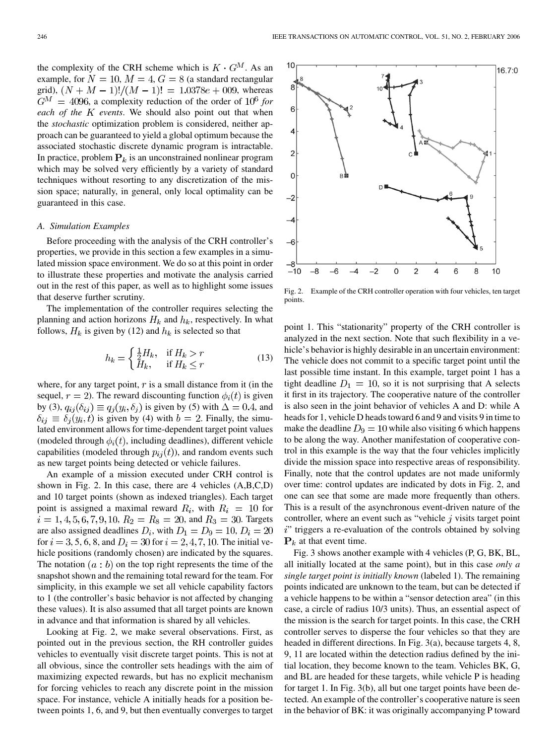$1670$ 

 $1<sup>C</sup>$ 

8

6

 $\overline{2}$ 

0

-2

 $-\epsilon$ 

the complexity of the CRH scheme which is  $K \cdot G^M$ . As an example, for  $N = 10$ ,  $M = 4$ ,  $G = 8$  (a standard rectangular grid),  $(N + M - 1)!/(M - 1)! = 1.0378e + 0.09$ , whereas  $G<sup>M</sup> = 4096$ , a complexity reduction of the order of 10<sup>6</sup> for each of the *K* events. We should also point out that when the *stochastic* optimization problem is considered, neither approach can be guaranteed to yield a global optimum because the associated stochastic discrete dynamic program is intractable. In practice, problem  $P_k$  is an unconstrained nonlinear program which may be solved very efficiently by a variety of standard techniques without resorting to any discretization of the mission space; naturally, in general, only local optimality can be guaranteed in this case.

# *A. Simulation Examples*

Before proceeding with the analysis of the CRH controller's properties, we provide in this section a few examples in a simulated mission space environment. We do so at this point in order to illustrate these properties and motivate the analysis carried out in the rest of this paper, as well as to highlight some issues that deserve further scrutiny.

The implementation of the controller requires selecting the planning and action horizons  $H_k$  and  $h_k$ , respectively. In what follows,  $H_k$  is given by (12) and  $h_k$  is selected so that

$$
h_k = \begin{cases} \frac{1}{2}H_k, & \text{if } H_k > r\\ H_k, & \text{if } H_k \le r \end{cases}
$$
 (13)

where, for any target point,  $r$  is a small distance from it (in the sequel,  $r = 2$ ). The reward discounting function  $\phi_i(t)$  is given by (3),  $q_{ij}(\delta_{ij}) \equiv q_j(y_i, \delta_j)$  is given by (5) with  $\Delta = 0.4$ , and  $\delta_{ij} \equiv \delta_i(y_i, t)$  is given by (4) with  $b = 2$ . Finally, the simulated environment allows for time-dependent target point values (modeled through  $\phi_i(t)$ , including deadlines), different vehicle capabilities (modeled through  $p_{ij}(t)$ ), and random events such as new target points being detected or vehicle failures.

An example of a mission executed under CRH control is shown in Fig. 2. In this case, there are 4 vehicles (A,B,C,D) and 10 target points (shown as indexed triangles). Each target point is assigned a maximal reward  $R_i$ , with  $R_i = 10$  for  $i = 1, 4, 5, 6, 7, 9, 10, R_2 = R_8 = 20$ , and  $R_3 = 30$ . Targets are also assigned deadlines  $D_i$ , with  $D_1 = D_9 = 10$ ,  $D_i = 20$ for  $i = 3, 5, 6, 8$ , and  $D_i = 30$  for  $i = 2, 4, 7, 10$ . The initial vehicle positions (randomly chosen) are indicated by the squares. The notation  $(a : b)$  on the top right represents the time of the snapshot shown and the remaining total reward for the team. For simplicity, in this example we set all vehicle capability factors to 1 (the controller's basic behavior is not affected by changing these values). It is also assumed that all target points are known in advance and that information is shared by all vehicles.

Looking at Fig. 2, we make several observations. First, as pointed out in the previous section, the RH controller guides vehicles to eventually visit discrete target points. This is not at all obvious, since the controller sets headings with the aim of maximizing expected rewards, but has no explicit mechanism for forcing vehicles to reach any discrete point in the mission space. For instance, vehicle A initially heads for a position between points 1, 6, and 9, but then eventually converges to target



Fig. 2. Example of the CRH controller operation with four vehicles, ten target points.

point 1. This "stationarity" property of the CRH controller is analyzed in the next section. Note that such flexibility in a vehicle's behavior is highly desirable in an uncertain environment: The vehicle does not commit to a specific target point until the last possible time instant. In this example, target point 1 has a tight deadline  $D_1 = 10$ , so it is not surprising that A selects it first in its trajectory. The cooperative nature of the controller is also seen in the joint behavior of vehicles A and D: while A heads for 1, vehicle D heads toward 6 and 9 and visits 9 in time to make the deadline  $D_9 = 10$  while also visiting 6 which happens to be along the way. Another manifestation of cooperative control in this example is the way that the four vehicles implicitly divide the mission space into respective areas of responsibility. Finally, note that the control updates are not made uniformly over time: control updates are indicated by dots in Fig. 2, and one can see that some are made more frequently than others. This is a result of the asynchronous event-driven nature of the controller, where an event such as "vehicle  $\dot{\gamma}$  visits target point  $i$ " triggers a re-evaluation of the controls obtained by solving  $\mathbf{P}_k$  at that event time.

Fig. 3 shows another example with 4 vehicles (P, G, BK, BL, all initially located at the same point), but in this case *only a single target point is initially known* (labeled 1). The remaining points indicated are unknown to the team, but can be detected if a vehicle happens to be within a "sensor detection area" (in this case, a circle of radius 10/3 units). Thus, an essential aspect of the mission is the search for target points. In this case, the CRH controller serves to disperse the four vehicles so that they are headed in different directions. In Fig. 3(a), because targets 4, 8, 9, 11 are located within the detection radius defined by the initial location, they become known to the team. Vehicles BK, G, and BL are headed for these targets, while vehicle P is heading for target 1. In Fig. 3(b), all but one target points have been detected. An example of the controller's cooperative nature is seen in the behavior of BK: it was originally accompanying P toward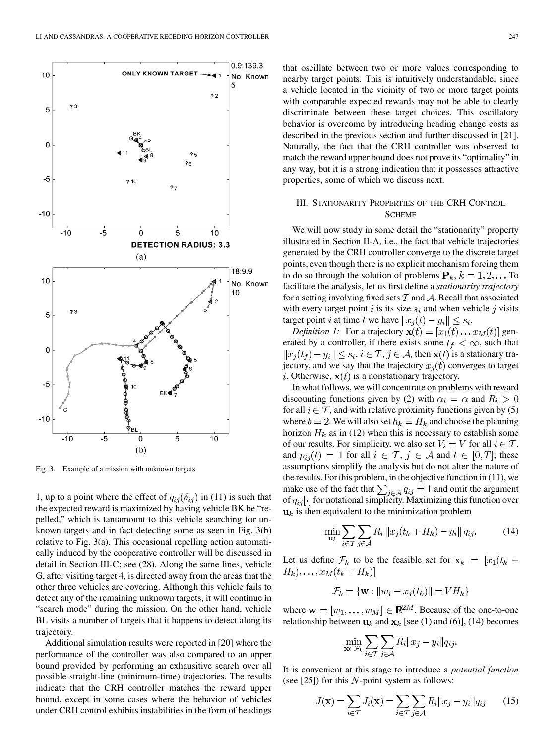

Fig. 3. Example of a mission with unknown targets.

1, up to a point where the effect of  $q_{ij}(\delta_{ij})$  in (11) is such that the expected reward is maximized by having vehicle BK be "repelled," which is tantamount to this vehicle searching for unknown targets and in fact detecting some as seen in Fig. 3(b) relative to Fig. 3(a). This occasional repelling action automatically induced by the cooperative controller will be discussed in detail in Section III-C; see (28). Along the same lines, vehicle G, after visiting target 4, is directed away from the areas that the other three vehicles are covering. Although this vehicle fails to detect any of the remaining unknown targets, it will continue in "search mode" during the mission. On the other hand, vehicle BL visits a number of targets that it happens to detect along its trajectory.

Additional simulation results were reported in [\[20](#page-15-0)] where the performance of the controller was also compared to an upper bound provided by performing an exhausitive search over all possible straight-line (minimum-time) trajectories. The results indicate that the CRH controller matches the reward upper bound, except in some cases where the behavior of vehicles under CRH control exhibits instabilities in the form of headings that oscillate between two or more values corresponding to nearby target points. This is intuitively understandable, since a vehicle located in the vicinity of two or more target points with comparable expected rewards may not be able to clearly discriminate between these target choices. This oscillatory behavior is overcome by introducing heading change costs as described in the previous section and further discussed in [\[21](#page-15-0)]. Naturally, the fact that the CRH controller was observed to match the reward upper bound does not prove its "optimality" in any way, but it is a strong indication that it possesses attractive properties, some of which we discuss next.

# III. STATIONARITY PROPERTIES OF THE CRH CONTROL SCHEME

We will now study in some detail the "stationarity" property illustrated in Section II-A, i.e., the fact that vehicle trajectories generated by the CRH controller converge to the discrete target points, even though there is no explicit mechanism forcing them to do so through the solution of problems  $P_k$ ,  $k = 1, 2, \dots$  To facilitate the analysis, let us first define a *stationarity trajectory* for a setting involving fixed sets  $\mathcal T$  and  $\mathcal A$ . Recall that associated with every target point i is its size  $s_i$  and when vehicle j visits target point *i* at time *t* we have  $||x_j(t) - y_i|| \leq s_i$ .

*Definition 1:* For a trajectory  $\mathbf{x}(t) = [x_1(t) \dots x_M(t)]$  generated by a controller, if there exists some  $t_f < \infty$ , such that  $||x_i(t_f) - y_i|| \leq s_i, i \in \mathcal{T}, j \in \mathcal{A}$ , then  $\mathbf{x}(t)$  is a stationary trajectory, and we say that the trajectory  $x_j(t)$  converges to target i. Otherwise,  $\mathbf{x}(t)$  is a nonstationary trajectory.

In what follows, we will concentrate on problems with reward discounting functions given by (2) with  $\alpha_i = \alpha$  and  $R_i > 0$ for all  $i \in \mathcal{T}$ , and with relative proximity functions given by (5) where  $b = 2$ . We will also set  $h_k = H_k$  and choose the planning horizon  $H_k$  as in (12) when this is necessary to establish some of our results. For simplicity, we also set  $V_i = V$  for all  $i \in \mathcal{T}$ , and  $p_{ij}(t) = 1$  for all  $i \in \mathcal{T}, j \in \mathcal{A}$  and  $t \in [0, T]$ ; these assumptions simplify the analysis but do not alter the nature of the results. For this problem, in the objective function in (11), we make use of the fact that  $\sum_{i \in A} q_{ij} = 1$  and omit the argument of  $q_{ij}[\cdot]$  for notational simplicity. Maximizing this function over  $u_k$  is then equivalent to the minimization problem

$$
\min_{\mathbf{u}_{k}} \sum_{i \in \mathcal{T}} \sum_{j \in \mathcal{A}} R_{i} \| x_{j} (t_{k} + H_{k}) - y_{i} \| q_{ij}.
$$
 (14)

Let us define  $\mathcal{F}_k$  to be the feasible set for  $\mathbf{x}_k = [x_1(t_k +$  $(H_k), \ldots, x_M(t_k + H_k)]$ 

$$
\mathcal{F}_k = \{ \mathbf{w} : ||w_j - x_j(t_k)|| = VH_k \}
$$

where  $\mathbf{w} = [w_1, \dots, w_M] \in \mathbb{R}^{2M}$ . Because of the one-to-one relationship between  $\mathbf{u}_k$  and  $\mathbf{x}_k$  [see (1) and (6)], (14) becomes

$$
\min_{\mathbf{x}\in\mathcal{F}_k}\sum_{i\in\mathcal{T}}\sum_{j\in\mathcal{A}}R_i||x_j-y_i||q_{ij}.
$$

It is convenient at this stage to introduce a *potential function* (see [\[25](#page-15-0)]) for this  $N$ -point system as follows:

$$
J(\mathbf{x}) = \sum_{i \in \mathcal{T}} J_i(\mathbf{x}) = \sum_{i \in \mathcal{T}} \sum_{j \in \mathcal{A}} R_i ||x_j - y_i|| q_{ij} \qquad (15)
$$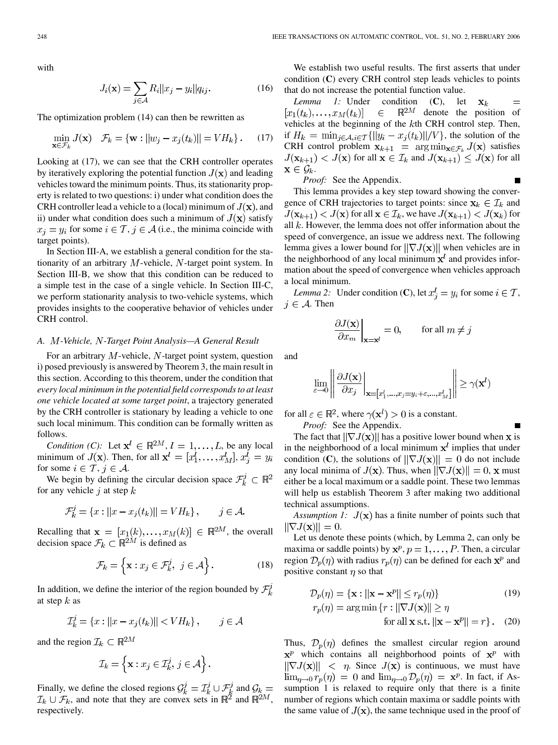with

$$
J_i(\mathbf{x}) = \sum_{j \in \mathcal{A}} R_i ||x_j - y_i|| q_{ij}.
$$
 (16)

The optimization problem (14) can then be rewritten as

$$
\min_{\mathbf{x} \in \mathcal{F}_k} J(\mathbf{x}) \quad \mathcal{F}_k = \{ \mathbf{w} : ||w_j - x_j(t_k)|| = VH_k \}. \tag{17}
$$

Looking at (17), we can see that the CRH controller operates by iteratively exploring the potential function  $J(\mathbf{x})$  and leading vehicles toward the minimum points. Thus, its stationarity property is related to two questions: i) under what condition does the CRH controller lead a vehicle to a (local) minimum of  $J(\mathbf{x})$ , and ii) under what condition does such a minimum of  $J(\mathbf{x})$  satisfy  $x_j = y_i$  for some  $i \in \mathcal{T}, j \in \mathcal{A}$  (i.e., the minima coincide with target points).

In Section III-A, we establish a general condition for the stationarity of an arbitrary  $M$ -vehicle,  $N$ -target point system. In Section III-B, we show that this condition can be reduced to a simple test in the case of a single vehicle. In Section III-C, we perform stationarity analysis to two-vehicle systems, which provides insights to the cooperative behavior of vehicles under CRH control.

## *A. -Vehicle, -Target Point Analysis—A General Result*

For an arbitrary  $M$ -vehicle,  $N$ -target point system, question i) posed previously is answered by Theorem 3, the main result in this section. According to this theorem, under the condition that *every local minimum in the potential field corresponds to at least one vehicle located at some target point*, a trajectory generated by the CRH controller is stationary by leading a vehicle to one such local minimum. This condition can be formally written as follows.

*Condition (C):* Let  $\mathbf{x}^l \in \mathbb{R}^{2M}$ ,  $l = 1, \ldots, L$ , be any local minimum of  $J(\mathbf{x})$ . Then, for all  $\mathbf{x}^l = [x_1^l, \dots, x_M^l], x_j^l = y_i$ for some  $i \in \mathcal{T}, j \in \mathcal{A}$ .

We begin by defining the circular decision space  $\mathcal{F}_{k}^{j} \subset \mathbb{R}^{2}$ for any vehicle j at step  $k$ 

$$
\mathcal{F}_k^j = \{x : ||x - x_j(t_k)|| = VH_k\}, \qquad j \in \mathcal{A}.
$$

Recalling that  $\mathbf{x} = [x_1(k), \dots, x_M(k)] \in \mathbb{R}^{2M}$ , the overall decision space  $\mathcal{F}_k \subset \mathbb{R}^{2M}$  is defined as

$$
\mathcal{F}_k = \left\{ \mathbf{x} : x_j \in \mathcal{F}_k^j, \ j \in \mathcal{A} \right\}.
$$
 (18)

In addition, we define the interior of the region bounded by  $\mathcal{F}_{k}^{j}$ at step  $k$  as

$$
\mathcal{I}_k^j = \{x : ||x - x_j(t_k)|| < VH_k\}, \qquad j \in \mathcal{A}
$$

and the region  $\mathcal{I}_k \subset \mathbb{R}^{2M}$ 

$$
\mathcal{I}_k = \left\{ \mathbf{x} : x_j \in \mathcal{I}_k^j, \, j \in \mathcal{A} \right\}.
$$

Finally, we define the closed regions  $\mathcal{G}_{k}^{\jmath} = \mathcal{I}_{k}^{\jmath} \cup \mathcal{F}_{k}^{\jmath}$  and , and note that they are convex sets in  $\mathbb{R}^2$  and  $\mathbb{R}^{2M}$ , respectively.

We establish two useful results. The first asserts that under condition (**C**) every CRH control step leads vehicles to points that do not increase the potential function value.

*Lemma 1:* Under condition (**C**), let  $\mathbf{x}_k$  $=$  $\mathbb{R}^{2M}$  denote the position of  $[x_1(t_k), \ldots, x_M(t_k)]$  $\in$ vehicles at the beginning of the  $k$ th CRH control step. Then, if  $H_k = \min_{j \in \mathcal{A}, i \in \mathcal{T}} \{ ||y_i - x_j(t_k)||/V \}$ , the solution of the CRH control problem  $x_{k+1}$  =  $\arg \min_{x \in \mathcal{F}_k} J(x)$  satisfies  $J(\mathbf{x}_{k+1}) < J(\mathbf{x})$  for all  $\mathbf{x} \in \mathcal{I}_k$  and  $J(\mathbf{x}_{k+1}) \leq J(\mathbf{x})$  for all  $\mathbf{x} \in \mathcal{G}_k$ .

*Proof:* See the Appendix.

This lemma provides a key step toward showing the convergence of CRH trajectories to target points: since  $x_k \in \mathcal{I}_k$  and  $J(\mathbf{x}_{k+1}) < J(\mathbf{x})$  for all  $\mathbf{x} \in \mathcal{I}_k$ , we have  $J(\mathbf{x}_{k+1}) < J(\mathbf{x}_k)$  for all  $k$ . However, the lemma does not offer information about the speed of convergence, an issue we address next. The following lemma gives a lower bound for  $\|\nabla J(\mathbf{x})\|$  when vehicles are in the neighborhood of any local minimum  $x^l$  and provides information about the speed of convergence when vehicles approach a local minimum.

*Lemma 2:* Under condition (C), let  $x_i^l = y_i$  for some  $i \in \mathcal{T}$ ,  $j \in \mathcal{A}$ . Then

$$
\left. \frac{\partial J(\mathbf{x})}{\partial x_m} \right|_{\mathbf{x} = \mathbf{x}^l} = 0, \qquad \text{for all } m \neq j
$$

and

$$
\lim_{\varepsilon \to 0} \left\| \frac{\partial J(\mathbf{x})}{\partial x_j} \right\|_{\mathbf{x} = \left[x_1^l, \dots, x_j = y_i + \varepsilon, \dots, x_M^l\right]} \left\| \ge \gamma(\mathbf{x}^l)\right\|
$$

for all  $\varepsilon \in \mathbb{R}^2$ , where  $\gamma(\mathbf{x}^l) > 0$  is a constant.

*Proof:* See the Appendix.

The fact that  $\|\nabla J(\mathbf{x})\|$  has a positive lower bound when x is in the neighborhood of a local minimum  $x^l$  implies that under condition (**C**), the solutions of  $\|\nabla J(\mathbf{x})\| = 0$  do not include any local minima of  $J(\mathbf{x})$ . Thus, when  $\|\nabla J(\mathbf{x})\| = 0$ , x must either be a local maximum or a saddle point. These two lemmas will help us establish Theorem 3 after making two additional technical assumptions.

*Assumption 1:*  $J(x)$  has a finite number of points such that  $\|\nabla J(\mathbf{x})\| = 0.$ 

Let us denote these points (which, by Lemma 2, can only be maxima or saddle points) by  $x^p$ ,  $p = 1, ..., P$ . Then, a circular region  $\mathcal{D}_p(\eta)$  with radius  $r_p(\eta)$  can be defined for each  $\mathbf{x}^p$  and positive constant  $\eta$  so that

$$
\mathcal{D}_p(\eta) = \{ \mathbf{x} : ||\mathbf{x} - \mathbf{x}^p|| \le r_p(\eta) \}
$$
  
\n
$$
r_p(\eta) = \arg\min \{ r : ||\nabla J(\mathbf{x})|| \ge \eta \}
$$
\n(19)

for all **x** s.t. 
$$
||\mathbf{x} - \mathbf{x}^p|| = r
$$
 }. (20)

Thus,  $\mathcal{D}_p(\eta)$  defines the smallest circular region around  $x^p$  which contains all neighborhood points of  $x^p$  with  $\|\nabla J(\mathbf{x})\|$  <  $\eta$ . Since  $J(\mathbf{x})$  is continuous, we must have  $\lim_{\eta \to 0} r_p(\eta) = 0$  and  $\lim_{\eta \to 0} \mathcal{D}_p(\eta) = \mathbf{x}^p$ . In fact, if Assumption 1 is relaxed to require only that there is a finite number of regions which contain maxima or saddle points with the same value of  $J(\mathbf{x})$ , the same technique used in the proof of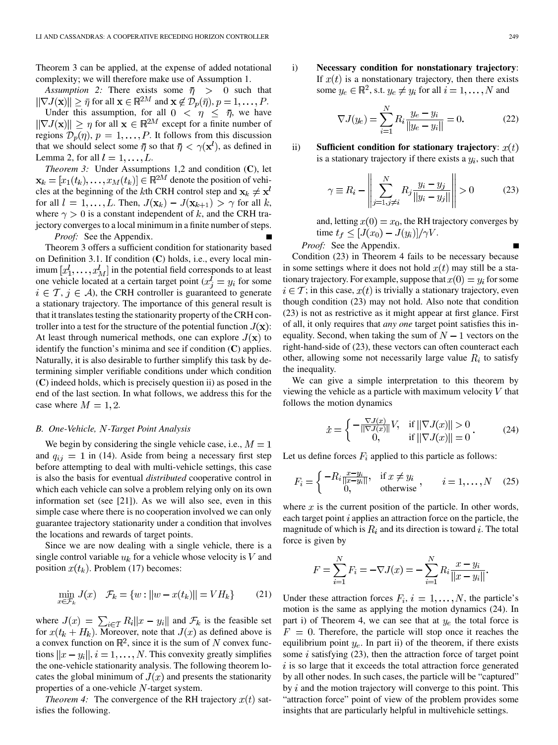Theorem 3 can be applied, at the expense of added notational complexity; we will therefore make use of Assumption 1.

*Assumption 2:* There exists some  $\bar{\eta} > 0$  such that  $\|\nabla J(\mathbf{x})\| \geq \overline{\eta}$  for all  $\mathbf{x} \in \mathbb{R}^{2M}$  and  $\mathbf{x} \notin \mathcal{D}_p(\overline{\eta}), p = 1, \ldots, P$ . Under this assumption, for all  $0 < \eta \leq \overline{\eta}$ , we have for all  $x \in \mathbb{R}^{2M}$  except for a finite number of regions  $\mathcal{D}_p(\eta)$ ,  $p = 1, \ldots, P$ . It follows from this discussion that we should select some  $\bar{\eta}$  so that  $\bar{\eta} < \gamma(\mathbf{x}^l)$ , as defined in Lemma 2, for all  $l = 1, \ldots, L$ .

*Theorem 3:* Under Assumptions 1,2 and condition (**C**), let  $\mathbf{x}_k = [x_1(t_k), \dots, x_M(t_k)] \in \mathbb{R}^{2M}$  denote the position of vehicles at the beginning of the kth CRH control step and  $\mathbf{x}_k \neq \mathbf{x}^l$ for all  $l = 1, ..., L$ . Then,  $J(\mathbf{x}_k) - J(\mathbf{x}_{k+1}) > \gamma$  for all k, where  $\gamma > 0$  is a constant independent of k, and the CRH trajectory converges to a local minimum in a finite number of steps.

*Proof:* See the Appendix.

Theorem 3 offers a sufficient condition for stationarity based on Definition 3.1. If condition (**C**) holds, i.e., every local minimum  $[x_1^l, \ldots, x_M^l]$  in the potential field corresponds to at least one vehicle located at a certain target point  $(x_i^l = y_i)$  for some  $i \in \mathcal{T}, j \in \mathcal{A}$ ), the CRH controller is guaranteed to generate a stationary trajectory. The importance of this general result is that it translates testing the stationarity property of the CRH controller into a test for the structure of the potential function  $J(\mathbf{x})$ : At least through numerical methods, one can explore  $J(\mathbf{x})$  to identify the function's minima and see if condition (**C**) applies. Naturally, it is also desirable to further simplify this task by determining simpler verifiable conditions under which condition (**C**) indeed holds, which is precisely question ii) as posed in the end of the last section. In what follows, we address this for the case where  $M = 1, 2$ .

#### *B. One-Vehicle, -Target Point Analysis*

We begin by considering the single vehicle case, i.e.,  $M = 1$ and  $q_{ij} = 1$  in (14). Aside from being a necessary first step before attempting to deal with multi-vehicle settings, this case is also the basis for eventual *distributed* cooperative control in which each vehicle can solve a problem relying only on its own information set (see [[21\]](#page-15-0)). As we will also see, even in this simple case where there is no cooperation involved we can only guarantee trajectory stationarity under a condition that involves the locations and rewards of target points.

Since we are now dealing with a single vehicle, there is a single control variable  $u_k$  for a vehicle whose velocity is V and position  $x(t_k)$ . Problem (17) becomes:

$$
\min_{x \in \mathcal{F}_k} J(x) \quad \mathcal{F}_k = \{ w : ||w - x(t_k)|| = VH_k \} \tag{21}
$$

where  $J(x) = \sum_{i \in \mathcal{T}} R_i ||x - y_i||$  and  $\mathcal{F}_k$  is the feasible set for  $x(t_k + H_k)$ . Moreover, note that  $J(x)$  as defined above is a convex function on  $\mathbb{R}^2$ , since it is the sum of N convex functions  $||x - y_i||$ ,  $i = 1, ..., N$ . This convexity greatly simplifies the one-vehicle stationarity analysis. The following theorem locates the global minimum of  $J(x)$  and presents the stationarity properties of a one-vehicle  $N$ -target system.

*Theorem 4:* The convergence of the RH trajectory  $x(t)$  satisfies the following.

i) **Necessary condition for nonstationary trajectory**: If  $x(t)$  is a nonstationary trajectory, then there exists some  $y_e \in \mathbb{R}^2$ , s.t.  $y_e \neq y_i$  for all  $i = 1, ..., N$  and

$$
\nabla J(y_e) = \sum_{i=1}^{N} R_i \frac{y_e - y_i}{\|y_e - y_i\|} = 0.
$$
 (22)

ii) **Sufficient condition for stationary trajectory**:  $x(t)$ is a stationary trajectory if there exists a  $y_i$ , such that

$$
\gamma \equiv R_i - \left\| \sum_{j=1, j \neq i}^{N} R_j \frac{y_i - y_j}{\|y_i - y_j\|} \right\| > 0 \tag{23}
$$

and, letting  $x(0) = x_0$ , the RH trajectory converges by time  $t_f \leq [J(x_0) - J(y_i)]/\gamma V$ .

*Proof:* See the Appendix.

Condition (23) in Theorem 4 fails to be necessary because in some settings where it does not hold  $x(t)$  may still be a stationary trajectory. For example, suppose that  $x(0) = y_i$  for some  $i \in \mathcal{T}$ ; in this case,  $x(t)$  is trivially a stationary trajectory, even though condition (23) may not hold. Also note that condition (23) is not as restrictive as it might appear at first glance. First of all, it only requires that *any one* target point satisfies this inequality. Second, when taking the sum of  $N-1$  vectors on the right-hand-side of (23), these vectors can often counteract each other, allowing some not necessarily large value  $R_i$  to satisfy the inequality.

We can give a simple interpretation to this theorem by viewing the vehicle as a particle with maximum velocity  $V$  that follows the motion dynamics

$$
\dot{x} = \begin{cases}\n-\frac{\nabla J(x)}{\|\nabla J(x)\|} V, & \text{if } \|\nabla J(x)\| > 0 \\
0, & \text{if } \|\nabla J(x)\| = 0\n\end{cases}.
$$
\n(24)

Let us define forces  $F_i$  applied to this particle as follows:

$$
F_i = \begin{cases} -R_i \frac{x - y_i}{\|x - y_i\|}, & \text{if } x \neq y_i \\ 0, & \text{otherwise} \end{cases}, \qquad i = 1, \dots, N \quad (25)
$$

where  $x$  is the current position of the particle. In other words, each target point  $i$  applies an attraction force on the particle, the magnitude of which is  $R_i$  and its direction is toward i. The total force is given by

$$
F = \sum_{i=1}^{N} F_i = -\nabla J(x) = -\sum_{i=1}^{N} R_i \frac{x - y_i}{\|x - y_i\|}
$$

Under these attraction forces  $F_i$ ,  $i = 1, ..., N$ , the particle's motion is the same as applying the motion dynamics (24). In part i) of Theorem 4, we can see that at  $y_e$  the total force is  $F = 0$ . Therefore, the particle will stop once it reaches the equilibrium point  $y_e$ . In part ii) of the theorem, if there exists some  $i$  satisfying (23), then the attraction force of target point  $i$  is so large that it exceeds the total attraction force generated by all other nodes. In such cases, the particle will be "captured" by  $i$  and the motion trajectory will converge to this point. This "attraction force" point of view of the problem provides some insights that are particularly helpful in multivehicle settings.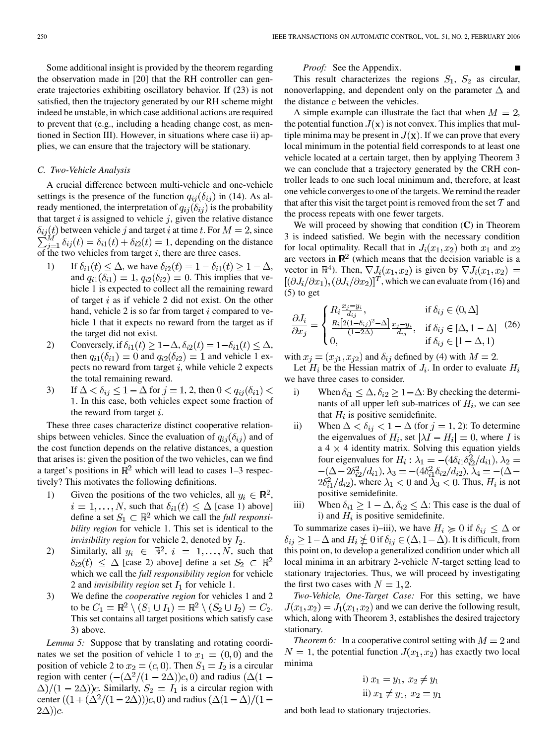Some additional insight is provided by the theorem regarding the observation made in [[20\]](#page-15-0) that the RH controller can generate trajectories exhibiting oscillatory behavior. If (23) is not satisfied, then the trajectory generated by our RH scheme might indeed be unstable, in which case additional actions are required to prevent that (e.g., including a heading change cost, as mentioned in Section III). However, in situations where case ii) applies, we can ensure that the trajectory will be stationary.

# *C. Two-Vehicle Analysis*

A crucial difference between multi-vehicle and one-vehicle settings is the presence of the function  $q_{ij}(\delta_{ij})$  in (14). As already mentioned, the interpretation of  $q_{ij}(\delta_{ij})$  is the probability that target  $i$  is assigned to vehicle  $j$ , given the relative distance  $\delta_{ij}(t)$  between vehicle j and target i at time t. For  $M = 2$ , since , depending on the distance of the two vehicles from target  $i$ , there are three cases.

- 1) If  $\delta_{i1}(t) \leq \Delta$ , we have  $\delta_{i2}(t) = 1 \delta_{i1}(t) \geq 1 \Delta$ , and  $q_{i1}(\delta_{i1}) = 1$ ,  $q_{i2}(\delta_{i2}) = 0$ . This implies that vehicle 1 is expected to collect all the remaining reward of target  $i$  as if vehicle 2 did not exist. On the other hand, vehicle 2 is so far from target  $i$  compared to vehicle 1 that it expects no reward from the target as if the target did not exist.
- 2) Conversely, if  $\delta_{i1}(t) \geq 1-\Delta$ ,  $\delta_{i2}(t) = 1-\delta_{i1}(t) \leq \Delta$ , then  $q_{i1}(\delta_{i1}) = 0$  and  $q_{i2}(\delta_{i2}) = 1$  and vehicle 1 expects no reward from target  $i$ , while vehicle 2 expects the total remaining reward.
- 3) If  $\Delta < \delta_{ij} \leq 1 \Delta$  for  $j = 1, 2$ , then  $0 < q_{ij}(\delta_{i1}) <$ . In this case, both vehicles expect some fraction of the reward from target  $i$ .

These three cases characterize distinct cooperative relationships between vehicles. Since the evaluation of  $q_{ij}(\delta_{ij})$  and of the cost function depends on the relative distances, a question that arises is: given the position of the two vehicles, can we find a target's positions in  $\mathbb{R}^2$  which will lead to cases 1–3 respectively? This motivates the following definitions.

- 1) Given the positions of the two vehicles, all  $y_i \in \mathbb{R}^2$ ,  $i = 1, \ldots, N$ , such that  $\delta_{i1}(t) \leq \Delta$  [case 1) above] define a set  $S_1 \subset \mathbb{R}^2$  which we call the *full responsibility region* for vehicle 1. This set is identical to the *invisibility region* for vehicle 2, denoted by  $I_2$ .
- 2) Similarly, all  $y_i \in \mathbb{R}^2$ ,  $i = 1, ..., N$ , such that  $\delta_{i2}(t) \leq \Delta$  [case 2) above] define a set  $S_2 \subset \mathbb{R}^2$ which we call the *full responsibility region* for vehicle 2 and *invisibility region* set  $I_1$  for vehicle 1.
- 3) We define the *cooperative region* for vehicles 1 and 2 to be  $C_1 = \mathbb{R}^2 \setminus (S_1 \cup I_1) = \mathbb{R}^2 \setminus (S_2 \cup I_2) = C_2$ . This set contains all target positions which satisfy case 3) above.

*Lemma 5:* Suppose that by translating and rotating coordinates we set the position of vehicle 1 to  $x_1 = (0,0)$  and the position of vehicle 2 to  $x_2 = (c, 0)$ . Then  $S_1 = I_2$  is a circular region with center  $\left(-\frac{(\Delta^2}{(1-2\Delta)})c, 0\right)$  and radius  $\left(\Delta(1-\Delta)\right)c, 0$  $\Delta$ /(1 – 2 $\Delta$ ))*c*. Similarly,  $S_2 = I_1$  is a circular region with center  $((1+(\Delta^2/(1-2\Delta)))c, 0)$  and radius  $(\Delta(1-\Delta)/(1-\Delta)))$  $(2\Delta))c$ .

*Proof:* See the Appendix.

This result characterizes the regions  $S_1$ ,  $S_2$  as circular, nonoverlapping, and dependent only on the parameter  $\Delta$  and the distance  $c$  between the vehicles.

A simple example can illustrate the fact that when  $M = 2$ , the potential function  $J(\mathbf{x})$  is not convex. This implies that multiple minima may be present in  $J(\mathbf{x})$ . If we can prove that every local minimum in the potential field corresponds to at least one vehicle located at a certain target, then by applying Theorem 3 we can conclude that a trajectory generated by the CRH controller leads to one such local minimum and, therefore, at least one vehicle converges to one of the targets. We remind the reader that after this visit the target point is removed from the set  $T$  and the process repeats with one fewer targets.

We will proceed by showing that condition (**C**) in Theorem 3 is indeed satisfied. We begin with the necessary condition for local optimality. Recall that in  $J_i(x_1, x_2)$  both  $x_1$  and  $x_2$ are vectors in  $\mathbb{R}^2$  (which means that the decision variable is a vector in  $\mathbb{R}^4$ ). Then,  $\nabla J_i(x_1, x_2)$  is given by  $\nabla J_i(x_1, x_2)$  =  $[(\partial J_i/\partial x_1), (\partial J_i/\partial x_2)]^T$ , which we can evaluate from (16) and  $(5)$  to get

$$
\frac{\partial J_i}{\partial x_j} = \begin{cases} R_i \frac{x_j - y_i}{d_{ij}}, & \text{if } \delta_{ij} \in (0, \Delta] \\ \frac{R_i \left[ 2(1 - \delta_{ij})^2 - \Delta \right]}{(1 - 2\Delta)} \frac{x_j - y_i}{d_{ij}}, & \text{if } \delta_{ij} \in [\Delta, 1 - \Delta] \\ 0, & \text{if } \delta_{ij} \in [1 - \Delta, 1) \end{cases} (26)
$$

with  $x_j = (x_{j1}, x_{j2})$  and  $\delta_{ij}$  defined by (4) with  $M = 2$ .

Let  $H_i$  be the Hessian matrix of  $J_i$ . In order to evaluate  $H_i$ we have three cases to consider.

- i) When  $\delta_{i1} \leq \Delta$ ,  $\delta_{i2} \geq 1 \Delta$ : By checking the determinants of all upper left sub-matrices of  $H_i$ , we can see that  $H_i$  is positive semidefinite.
- ii) When  $\Delta < \delta_{ij} < 1 \Delta$  (for  $j = 1, 2$ ): To determine the eigenvalues of  $H_i$ , set  $|\lambda I - H_i| = 0$ , where I is a  $4 \times 4$  identity matrix. Solving this equation yields four eigenvalues for  $H_i$ :  $\lambda_1 = -(4\delta_{i1}\delta_{i2}^2/d_{i1}), \lambda_2 =$  $-(\Delta - 2\delta_{i2}^2/d_{i1}), \lambda_3 = -(4\delta_{i1}^2\delta_{i2}/d_{i2}), \lambda_4 = -(\Delta 2\delta_{i1}^2/d_{i2}$ , where  $\lambda_1 < 0$  and  $\lambda_3 < 0$ . Thus,  $H_i$  is not positive semidefinite.
- iii) When  $\delta_{i1} \geq 1 \Delta$ ,  $\delta_{i2} \leq \Delta$ : This case is the dual of i) and  $H_i$  is positive semidefinite.

To summarize cases i)–iii), we have  $H_i \geq 0$  if  $\delta_{ij} \leq \Delta$  or  $\delta_{ij} \geq 1-\Delta$  and  $H_i \not\succeq 0$  if  $\delta_{ij} \in (\Delta, 1-\Delta)$ . It is difficult, from this point on, to develop a generalized condition under which all local minima in an arbitrary 2-vehicle  $N$ -target setting lead to stationary trajectories. Thus, we will proceed by investigating the first two cases with  $N = 1, 2$ .

*Two-Vehicle, One-Target Case:* For this setting, we have  $J(x_1, x_2) = J_1(x_1, x_2)$  and we can derive the following result, which, along with Theorem 3, establishes the desired trajectory stationary.

*Theorem 6:* In a cooperative control setting with  $M = 2$  and  $N = 1$ , the potential function  $J(x_1, x_2)$  has exactly two local minima

i) 
$$
x_1 = y_1, x_2 \neq y_1
$$
  
ii)  $x_1 \neq y_1, x_2 = y_1$ 

and both lead to stationary trajectories.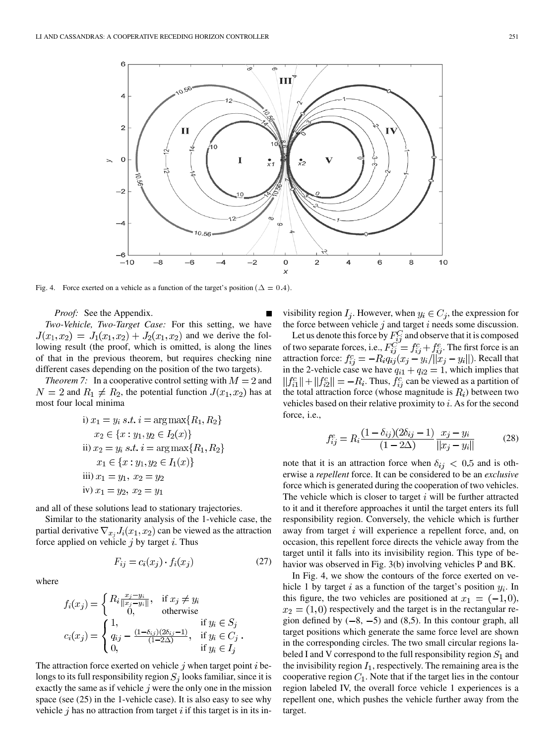

Fig. 4. Force exerted on a vehicle as a function of the target's position ( $\Delta = 0.4$ ).

*Proof:* See the Appendix.

*Two-Vehicle, Two-Target Case:* For this setting, we have  $J(x_1, x_2) = J_1(x_1, x_2) + J_2(x_1, x_2)$  and we derive the following result (the proof, which is omitted, is along the lines of that in the previous theorem, but requires checking nine different cases depending on the position of the two targets).

*Theorem 7:* In a cooperative control setting with  $M = 2$  and  $N = 2$  and  $R_1 \neq R_2$ , the potential function  $J(x_1, x_2)$  has at most four local minima

i) 
$$
x_1 = y_i
$$
 s.t.  $i = \arg \max\{R_1, R_2\}$   
\n $x_2 \in \{x : y_1, y_2 \in I_2(x)\}$   
\nii)  $x_2 = y_i$  s.t.  $i = \arg \max\{R_1, R_2\}$   
\n $x_1 \in \{x : y_1, y_2 \in I_1(x)\}$   
\niii)  $x_1 = y_1$ ,  $x_2 = y_2$   
\niv)  $x_1 = y_2$ ,  $x_2 = y_1$ 

and all of these solutions lead to stationary trajectories.

Similar to the stationarity analysis of the 1-vehicle case, the partial derivative  $\nabla_{x_j} J_i(x_1, x_2)$  can be viewed as the attraction force applied on vehicle  $j$  by target  $i$ . Thus

$$
F_{ij} = c_i(x_j) \cdot f_i(x_j) \tag{27}
$$

where

$$
f_i(x_j) = \begin{cases} R_i \frac{x_j - y_i}{\|x_j - y_i\|}, & \text{if } x_j \neq y_i \\ 0, & \text{otherwise} \end{cases}
$$
  

$$
c_i(x_j) = \begin{cases} 1, & \text{if } y_i \in S_j \\ q_{ij} - \frac{(1 - \delta_{ij})(2\delta_{ij} - 1)}{(1 - 2\Delta)}, & \text{if } y_i \in C_j \\ 0, & \text{if } y_i \in I_j \end{cases}
$$

The attraction force exerted on vehicle  $j$  when target point  $i$  belongs to its full responsibility region  $S_i$  looks familiar, since it is exactly the same as if vehicle  $j$  were the only one in the mission space (see (25) in the 1-vehicle case). It is also easy to see why vehicle  $i$  has no attraction from target  $i$  if this target is in its invisibility region  $I_j$ . However, when  $y_i \in C_j$ , the expression for the force between vehicle  $j$  and target  $i$  needs some discussion.

Let us denote this force by  $F_{ij}^C$  and observe that it is composed of two separate forces, i.e.,  $F_{ii}^C = f_{ii}^c + f_{ii}^e$ . The first force is an attraction force:  $f_{ii}^c = -R_i q_{ij}(x_j - y_i/||x_j - y_i||)$ . Recall that in the 2-vehicle case we have  $q_{i1} + q_{i2} = 1$ , which implies that  $||f_{i1}^c|| + ||f_{i2}^c|| = -R_i$ . Thus,  $f_{ij}^c$  can be viewed as a partition of the total attraction force (whose magnitude is  $R_i$ ) between two vehicles based on their relative proximity to  $i$ . As for the second force, i.e.,

$$
f_{ij}^e = R_i \frac{(1 - \delta_{ij})(2\delta_{ij} - 1)}{(1 - 2\Delta)} \frac{x_j - y_i}{\|x_j - y_i\|}
$$
(28)

note that it is an attraction force when  $\delta_{ij} < 0.5$  and is otherwise a *repellent* force. It can be considered to be an *exclusive* force which is generated during the cooperation of two vehicles. The vehicle which is closer to target  $i$  will be further attracted to it and it therefore approaches it until the target enters its full responsibility region. Conversely, the vehicle which is further away from target  $i$  will experience a repellent force, and, on occasion, this repellent force directs the vehicle away from the target until it falls into its invisibility region. This type of behavior was observed in Fig. 3(b) involving vehicles P and BK.

In Fig. 4, we show the contours of the force exerted on vehicle 1 by target i as a function of the target's position  $y_i$ . In this figure, the two vehicles are positioned at  $x_1 = (-1,0)$ ,  $x_2 = (1,0)$  respectively and the target is in the rectangular region defined by  $(-8, -5)$  and  $(8,5)$ . In this contour graph, all target positions which generate the same force level are shown in the corresponding circles. The two small circular regions labeled I and V correspond to the full responsibility region  $S_1$  and the invisibility region  $I_1$ , respectively. The remaining area is the cooperative region  $C_1$ . Note that if the target lies in the contour region labeled IV, the overall force vehicle 1 experiences is a repellent one, which pushes the vehicle further away from the target.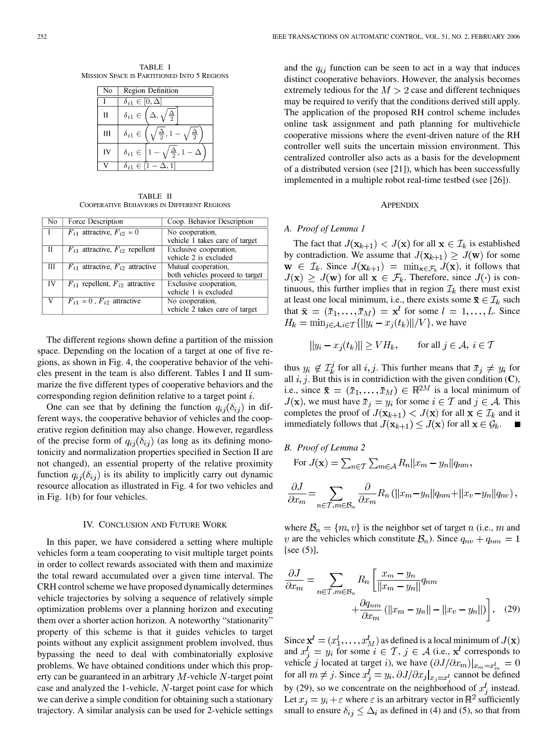TABLE I MISSION SPACE IS PARTITIONED INTO 5 REGIONS

| No | Region Definition                                                               |  |
|----|---------------------------------------------------------------------------------|--|
|    | $\delta_{i1} \in [0, \Delta]$                                                   |  |
| П  | $\sqrt{\frac{\Delta}{2}}$<br>$\delta_{i1} \in$                                  |  |
| Ш  | $\delta_{i1} \in \left(\sqrt{\frac{\Delta}{2}}, 1\right)$<br>$\frac{\Delta}{2}$ |  |
| IV | $-\sqrt{\frac{\Delta}{2}}, 1 -$<br>$\delta_{i1} \in$                            |  |
|    | $\delta_{i1} \in [1-\Delta, 1]$                                                 |  |

TABLE II COOPERATIVE BEHAVIORS IN DIFFERENT REGIONS

| No | Force Description                                   | Coop. Behavior Description      |
|----|-----------------------------------------------------|---------------------------------|
|    | $\overline{F_{i1}}$ attractive, $F_{i2} = 0$        | No cooperation.                 |
|    |                                                     | vehicle 1 takes care of target  |
| П  | $F_{i1}$ attractive, $F_{i2}$ repellent             | Exclusive cooperation,          |
|    |                                                     | vehicle 2 is excluded           |
| Ш  | $\overline{F_{i1}}$ attractive, $F_{i2}$ attractive | Mutual cooperation,             |
|    |                                                     | both vehicles proceed to target |
| IV | $F_{i1}$ repellent, $F_{i2}$ attractive             | Exclusive cooperation,          |
|    |                                                     | vehicle 1 is excluded           |
|    | $F_{i1} = 0$ , $F_{i2}$ attractive                  | No cooperation.                 |
|    |                                                     | vehicle 2 takes care of target  |

The different regions shown define a partition of the mission space. Depending on the location of a target at one of five regions, as shown in Fig. 4, the cooperative behavior of the vehicles present in the team is also different. Tables I and II summarize the five different types of cooperative behaviors and the corresponding region definition relative to a target point  $i$ .

One can see that by defining the function  $q_{ij}(\delta_{ij})$  in different ways, the cooperative behavior of vehicles and the cooperative region definition may also change. However, regardless of the precise form of  $q_{ij}(\delta_{ij})$  (as long as its defining monotonicity and normalization properties specified in Section II are not changed), an essential property of the relative proximity function  $q_{ij}(\delta_{ij})$  is its ability to implicitly carry out dynamic resource allocation as illustrated in Fig. 4 for two vehicles and in Fig. 1(b) for four vehicles.

#### IV. CONCLUSION AND FUTURE WORK

In this paper, we have considered a setting where multiple vehicles form a team cooperating to visit multiple target points in order to collect rewards associated with them and maximize the total reward accumulated over a given time interval. The CRH control scheme we have proposed dynamically determines vehicle trajectories by solving a sequence of relatively simple optimization problems over a planning horizon and executing them over a shorter action horizon. A noteworthy "stationarity" property of this scheme is that it guides vehicles to target points without any explicit assignment problem involved, thus bypassing the need to deal with combinatorially explosive problems. We have obtained conditions under which this property can be guaranteed in an arbitrary  $M$ -vehicle  $N$ -target point case and analyzed the 1-vehicle,  $N$ -target point case for which we can derive a simple condition for obtaining such a stationary trajectory. A similar analysis can be used for 2-vehicle settings

and the  $q_{ij}$  function can be seen to act in a way that induces distinct cooperative behaviors. However, the analysis becomes extremely tedious for the  $M > 2$  case and different techniques may be required to verify that the conditions derived still apply. The application of the proposed RH control scheme includes online task assignment and path planning for multivehicle cooperative missions where the event-driven nature of the RH controller well suits the uncertain mission environment. This centralized controller also acts as a basis for the development of a distributed version (see [\[21](#page-15-0)]), which has been successfully implemented in a multiple robot real-time testbed (see [[26\]](#page-15-0)).

#### **APPENDIX**

## *A. Proof of Lemma 1*

The fact that  $J(\mathbf{x}_{k+1}) < J(\mathbf{x})$  for all  $\mathbf{x} \in \mathcal{I}_k$  is established by contradiction. We assume that  $J(\mathbf{x}_{k+1}) \geq J(\mathbf{w})$  for some  $\mathbf{w} \in \mathcal{I}_k$ . Since  $J(\mathbf{x}_{k+1}) = \min_{\mathbf{x} \in \mathcal{F}_k} J(\mathbf{x})$ , it follows that  $J(\mathbf{x}) \geq J(\mathbf{w})$  for all  $\mathbf{x} \in \mathcal{F}_k$ . Therefore, since  $J(\cdot)$  is continuous, this further implies that in region  $\mathcal{I}_k$  there must exist at least one local minimum, i.e., there exists some  $\bar{\mathbf{x}} \in \mathcal{I}_k$  such that  $\bar{\mathbf{x}} = (\bar{x}_1, \dots, \bar{x}_M) = \mathbf{x}^l$  for some  $l = 1, \dots, L$ . Since  $H_k = \min_{j \in \mathcal{A}, i \in \mathcal{T}} \{ ||y_i - x_j(t_k)||/V \}$ , we have

$$
||y_i - x_j(t_k)|| \geq VH_k, \qquad \text{for all } j \in \mathcal{A}, \ i \in \mathcal{T}
$$

thus  $y_i \notin \mathcal{I}_{k}^{j}$  for all  $i, j$ . This further means that  $\bar{x}_j \neq y_i$  for all  $i, j$ . But this is in contridiction with the given condition  $(C)$ , i.e., since  $\bar{\mathbf{x}} = (\bar{x}_1, \dots, \bar{x}_M) \in \mathbb{R}^{2M}$  is a local minimum of  $J(\mathbf{x})$ , we must have  $\overline{x}_j = y_i$  for some  $i \in \mathcal{T}$  and  $j \in \mathcal{A}$ . This completes the proof of  $J(\mathbf{x}_{k+1}) < J(\mathbf{x})$  for all  $\mathbf{x} \in \mathcal{I}_k$  and it immediately follows that  $J(\mathbf{x}_{k+1}) \leq J(\mathbf{x})$  for all  $\mathbf{x} \in \mathcal{G}_k$ .

*B. Proof of Lemma 2* For  $J(\mathbf{x}) = \sum_{n \in \mathcal{T}} \sum_{m \in A} R_n ||x_m - y_n|| q_{nm},$  $\frac{\partial J}{\partial x_m} = \sum_{n \in \mathcal{T}, m \in \mathcal{B}_n} \frac{\partial}{\partial x_m} R_n \left( ||x_m - y_n||q_{nm} + ||x_v - y_n||q_{nv} \right),$ 

where  $\mathcal{B}_n = \{m, v\}$  is the neighbor set of target n (i.e., m and v are the vehicles which constitute  $\mathcal{B}_n$ ). Since  $q_{nv} + q_{nm} = 1$ [see  $(5)$ ],

$$
\frac{\partial J}{\partial x_m} = \sum_{n \in \mathcal{T}, m \in \mathcal{B}_n} R_n \left[ \frac{x_m - y_n}{\|x_m - y_n\|} q_{nm} + \frac{\partial q_{nm}}{\partial x_m} \left( \|x_m - y_n\| - \|x_v - y_n\| \right) \right].
$$
 (29)

Since  $\mathbf{x}^l = (x_1^l, \dots, x_M^l)$  as defined is a local minimum of  $J(\mathbf{x})$ and  $x_i^l = y_i$  for some  $i \in \mathcal{T}, j \in \mathcal{A}$  (i.e.,  $\mathbf{x}^l$  corresponds to vehicle  $j$  located at target  $i$ ), we have for all  $m \neq j$ . Since  $x_i^l = y_i$ ,  $\partial J/\partial x_i|_{x_i = x_l}$  cannot be defined by (29), so we concentrate on the neighborhood of  $x_i^l$  instead. Let  $x_j = y_i + \varepsilon$  where  $\varepsilon$  is an arbitrary vector in  $\mathbb{R}^2$  sufficiently small to ensure  $\delta_{ij} \leq \Delta_i$  as defined in (4) and (5), so that from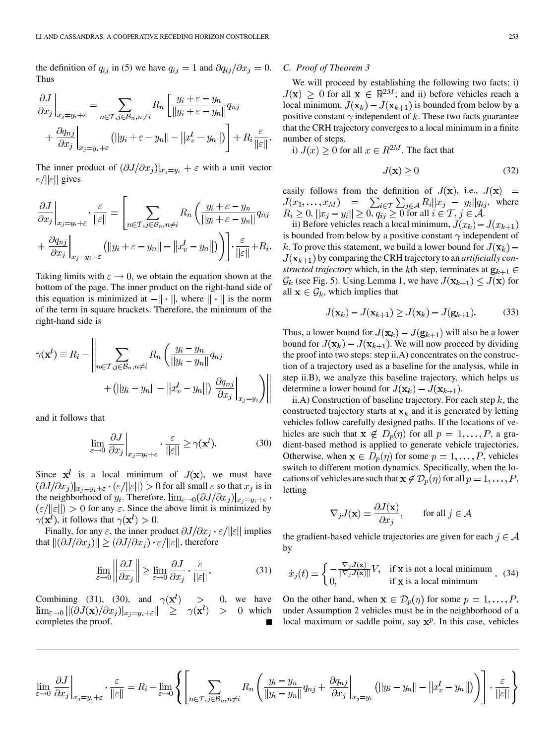the definition of  $q_{ij}$  in (5) we have  $q_{ij} = 1$  and  $\partial q_{ij}/\partial x_j = 0$ . Thus

$$
\frac{\partial J}{\partial x_j}\Big|_{x_j=y_i+\varepsilon} = \sum_{n\in\mathcal{T},j\in\mathcal{B}_n,n\neq i} R_n \left[ \frac{y_i+\varepsilon-y_n}{\|y_i+\varepsilon-y_n\|} q_{nj} + \frac{\partial q_{nj}}{\partial x_j}\Big|_{x_j=y_i+\varepsilon} \left( \|y_i+\varepsilon-y_n\| - \|x_v^l-y_n\| \right) \right] + R_i \frac{\varepsilon}{\|\varepsilon\|}
$$

The inner product of  $(\partial J/\partial x_j)|_{x_i=y_i} + \varepsilon$  with a unit vector  $\varepsilon / ||\varepsilon||$  gives

$$
\frac{\partial J}{\partial x_j}\Big|_{x_j=y_i+\varepsilon} \cdot \frac{\varepsilon}{\|\varepsilon\|} = \left[ \sum_{n \in \mathcal{T}, j \in \mathcal{B}_n, n \neq i} R_n \left( \frac{y_i + \varepsilon - y_n}{\|y_i + \varepsilon - y_n\|} q_{nj} \right) + \frac{\partial q_{nj}}{\partial x_j}\right|_{x_j=y_i+\varepsilon} (\|y_i + \varepsilon - y_n\| - \|x_v^l - y_n\|) \bigg) \bigg] \cdot \frac{\varepsilon}{\|\varepsilon\|} + R_i.
$$

Taking limits with  $\varepsilon \to 0$ , we obtain the equation shown at the bottom of the page. The inner product on the right-hand side of this equation is minimized at  $\| \cdot \|$ , where  $\| \cdot \|$  is the norm of the term in square brackets. Therefore, the minimum of the right-hand side is

$$
\gamma(\mathbf{x}^l) \equiv R_i - \left\| \sum_{n \in \mathcal{T}, j \in \mathcal{B}_n, n \neq i} R_n \left( \frac{y_i - y_n}{\|y_i - y_n\|} q_{nj} + (||y_i - y_n|| - ||x_v^l - y_n||) \frac{\partial q_{nj}}{\partial x_j} \right\|_{x_j = y_i} \right) \right\|
$$

and it follows that

$$
\lim_{\varepsilon \to 0} \frac{\partial J}{\partial x_j}\bigg|_{x_j = y_i + \varepsilon} \cdot \frac{\varepsilon}{\|\varepsilon\|} \ge \gamma(\mathbf{x}^l). \tag{30}
$$

Since  $x^l$  is a local minimum of  $J(x)$ , we must have  $(\partial J/\partial x_i)|_{x_i=y_i+\epsilon} \cdot (\epsilon/\|\epsilon\|) > 0$  for all small  $\epsilon$  so that  $x_i$  is in the neighborhood of  $y_i$ . Therefore,  $\lim_{\varepsilon \to 0} (\partial J / \partial x_i)|_{x_i = y_i + \varepsilon}$ .  $\mathcal{E}(\varepsilon/||\varepsilon||) > 0$  for any  $\varepsilon$ . Since the above limit is minimized by  $\gamma(\mathbf{x}^l)$ , it follows that  $\gamma(\mathbf{x}^l) > 0$ .

Finally, for any  $\varepsilon$ , the inner product  $\partial J/\partial x_j \cdot \varepsilon / ||\varepsilon||$  implies that  $||(\partial J/\partial x_i)|| \ge (\partial J/\partial x_i) \cdot \varepsilon/||\varepsilon||$ , therefore

$$
\lim_{\varepsilon \to 0} \left\| \frac{\partial J}{\partial x_j} \right\| \ge \lim_{\varepsilon \to 0} \frac{\partial J}{\partial x_j} \cdot \frac{\varepsilon}{\|\varepsilon\|}.
$$
 (31)

Combining (31), (30), and  $\gamma(\mathbf{x}^l) > 0$ , we have  $\lim_{\varepsilon \to 0} ||(\partial J(\mathbf{x})/\partial x_j)|_{x_i = y_i + \varepsilon}|| \geq \gamma(\mathbf{x}^l)$ which  $\geq$ completes the proof.

## *C. Proof of Theorem 3*

We will proceed by establishing the following two facts: i)  $J(\mathbf{x}) > 0$  for all  $\mathbf{x} \in \mathbb{R}^{2M}$ ; and ii) before vehicles reach a local minimum,  $J(\mathbf{x}_k) - J(\mathbf{x}_{k+1})$  is bounded from below by a positive constant  $\gamma$  independent of k. These two facts guarantee that the CRH trajectory converges to a local minimum in a finite number of steps.

i)  $J(x) \geq 0$  for all  $x \in R^{2M}$ . The fact that

$$
J(\mathbf{x}) \ge 0 \tag{32}
$$

easily follows from the definition of  $J(\mathbf{x})$ , i.e.,  $J(\mathbf{x})$  = , where ,  $||x_j - y_i|| \ge 0$ ,  $q_{ij} \ge 0$  for all  $i \in \mathcal{T}, j \in \mathcal{A}$ .

ii) Before vehicles reach a local minimum,  $J(x_k) - J(x_{k+1})$ is bounded from below by a positive constant  $\gamma$  independent of k. To prove this statement, we build a lower bound for  $J(\mathbf{x}_k)$  –  $J(\mathbf{x}_{k+1})$  by comparing the CRH trajectory to an *artificially constructed trajectory* which, in the kth step, terminates at  $\mathbf{g}_{k+1} \in$  $\mathcal{G}_k$  (see Fig. 5). Using Lemma 1, we have  $J(\mathbf{x}_{k+1}) \leq J(\mathbf{x})$  for all  $\mathbf{x} \in \mathcal{G}_k$ , which implies that

$$
J(\mathbf{x}_k) - J(\mathbf{x}_{k+1}) \ge J(\mathbf{x}_k) - J(\mathbf{g}_{k+1}).
$$
 (33)

Thus, a lower bound for  $J(\mathbf{x}_k) - J(\mathbf{g}_{k+1})$  will also be a lower bound for  $J(\mathbf{x}_k) - J(\mathbf{x}_{k+1})$ . We will now proceed by dividing the proof into two steps: step ii.A) concentrates on the construction of a trajectory used as a baseline for the analysis, while in step ii.B), we analyze this baseline trajectory, which helps us determine a lower bound for  $J(\mathbf{x}_k) - J(\mathbf{x}_{k+1})$ .

ii.A) Construction of baseline trajectory. For each step  $k$ , the constructed trajectory starts at  $x_k$  and it is generated by letting vehicles follow carefully designed paths. If the locations of vehicles are such that  $\mathbf{x} \notin D_p(\eta)$  for all  $p = 1, ..., P$ , a gradient-based method is applied to generate vehicle trajectories. Otherwise, when  $\mathbf{x} \in D_p(\eta)$  for some  $p = 1, \dots, P$ , vehicles switch to different motion dynamics. Specifically, when the locations of vehicles are such that  $\mathbf{x} \notin \mathcal{D}_p(\eta)$  for all  $p = 1, \dots, P$ , letting

$$
\nabla_j J(\mathbf{x}) = \frac{\partial J(\mathbf{x})}{\partial x_j}, \qquad \text{for all } j \in \mathcal{A}
$$

the gradient-based vehicle trajectories are given for each  $j \in A$ by

$$
\dot{x}_j(t) = \begin{cases}\n-\frac{\nabla_j J(\mathbf{x})}{\|\nabla_j J(\mathbf{x})\|} V, & \text{if } \mathbf{x} \text{ is not a local minimum} \\
0, & \text{if } \mathbf{x} \text{ is a local minimum}\n\end{cases} . \tag{34}
$$

On the other hand, when  $\mathbf{x} \in \mathcal{D}_p(\eta)$  for some  $p = 1, \dots, P$ , under Assumption 2 vehicles must be in the neighborhood of a local maximum or saddle point, say  $x^p$ . In this case, vehicles

$$
\lim_{\varepsilon\to 0}\left.\frac{\partial J}{\partial x_j}\right|_{x_j=y_i+\varepsilon}\cdot\frac{\varepsilon}{||\varepsilon||}=R_i+\lim_{\varepsilon\to 0}\left\{\left[\sum_{n\in\mathcal{T},j\in\mathcal{B}_n,n\neq i}R_n\left(\frac{y_i-y_n}{||y_i-y_n||}q_{nj}+\frac{\partial q_{nj}}{\partial x_j}\bigg|_{x_j=y_i}\left(||y_i-y_n||-||x_v^l-y_n||\right)\right)\right]\cdot\frac{\varepsilon}{||\varepsilon||}\right\}
$$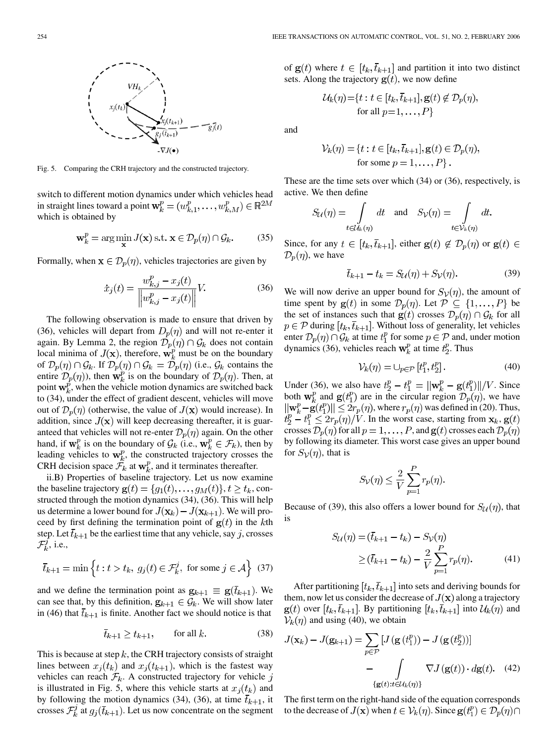

Fig. 5. Comparing the CRH trajectory and the constructed trajectory.

switch to different motion dynamics under which vehicles head in straight lines toward a point  $\mathbf{w}_k^p = (w_{k,1}^p, \dots, w_{k,M}^p) \in \mathbb{R}^{2M}$ which is obtained by

$$
\mathbf{w}_k^p = \arg\min_{\mathbf{x}} J(\mathbf{x}) \text{ s.t. } \mathbf{x} \in \mathcal{D}_p(\eta) \cap \mathcal{G}_k. \tag{35}
$$

Formally, when  $\mathbf{x} \in \mathcal{D}_p(\eta)$ , vehicles trajectories are given by

$$
\dot{x}_j(t) = \frac{w_{k,j}^p - x_j(t)}{\left\| w_{k,j}^p - x_j(t) \right\|} V.
$$
\n(36)

The following observation is made to ensure that driven by (36), vehicles will depart from  $D_p(\eta)$  and will not re-enter it again. By Lemma 2, the region  $\mathcal{D}_p(\eta) \cap \mathcal{G}_k$  does not contain local minima of  $J(\mathbf{x})$ , therefore,  $\mathbf{w}_k^p$  must be on the boundary of  $\mathcal{D}_p(\eta) \cap \mathcal{G}_k$ . If  $\mathcal{D}_p(\eta) \cap \mathcal{G}_k = \mathcal{D}_p(\eta)$  (i.e.,  $\mathcal{G}_k$  contains the entire  $\mathcal{D}_p(\eta)$ , then  $\mathbf{w}_k^p$  is on the boundary of  $\mathcal{D}_p(\eta)$ . Then, at point  $\mathbf{w}_k^p$ , when the vehicle motion dynamics are switched back to (34), under the effect of gradient descent, vehicles will move out of  $\mathcal{D}_p(\eta)$  (otherwise, the value of  $J(\mathbf{x})$  would increase). In addition, since  $J(\mathbf{x})$  will keep decreasing thereafter, it is guaranteed that vehicles will not re-enter  $\mathcal{D}_p(\eta)$  again. On the other hand, if  $\mathbf{w}_k^p$  is on the boundary of  $\mathcal{G}_k$  (i.e.,  $\mathbf{w}_k^p \in \mathcal{F}_k$ ), then by leading vehicles to  $w_k^p$ , the constructed trajectory crosses the CRH decision space  $\mathcal{F}_k$  at  $\mathbf{w}_k^p$ , and it terminates thereafter.

ii.B) Properties of baseline trajectory. Let us now examine the baseline trajectory  $g(t) = \{g_1(t), \ldots, g_M(t)\}\$ ,  $t \ge t_k$ , constructed through the motion dynamics (34), (36). This will help us determine a lower bound for  $J(\mathbf{x}_k) - J(\mathbf{x}_{k+1})$ . We will proceed by first defining the termination point of  $g(t)$  in the kth step. Let  $\bar{t}_{k+1}$  be the earliest time that any vehicle, say j, crosses  $\mathcal{F}_{k}^{j}$ , i.e.,

$$
\bar{t}_{k+1} = \min\left\{t : t > t_k, \ g_j(t) \in \mathcal{F}_k^j, \text{ for some } j \in \mathcal{A}\right\} \tag{37}
$$

and we define the termination point as  $\mathbf{g}_{k+1} \equiv \mathbf{g}(\bar{t}_{k+1})$ . We can see that, by this definition,  $\mathbf{g}_{k+1} \in \mathcal{G}_k$ . We will show later in (46) that  $\bar{t}_{k+1}$  is finite. Another fact we should notice is that

$$
\bar{t}_{k+1} \ge t_{k+1}, \qquad \text{for all } k. \tag{38}
$$

This is because at step  $k$ , the CRH trajectory consists of straight lines between  $x_i(t_k)$  and  $x_i(t_{k+1})$ , which is the fastest way vehicles can reach  $\mathcal{F}_k$ . A constructed trajectory for vehicle j is illustrated in Fig. 5, where this vehicle starts at  $x_i(t_k)$  and by following the motion dynamics (34), (36), at time  $\bar{t}_{k+1}$ , it crosses  $\mathcal{F}_{k}^{j}$  at  $g_{j}(\bar{t}_{k+1})$ . Let us now concentrate on the segment of  $g(t)$  where  $t \in [t_k, \bar{t}_{k+1}]$  and partition it into two distinct sets. Along the trajectory  $g(t)$ , we now define

$$
\mathcal{U}_k(\eta) = \{t : t \in [t_k, \overline{t}_{k+1}], \mathbf{g}(t) \notin \mathcal{D}_p(\eta),
$$
  
for all  $p = 1, ..., P\}$ 

and

$$
\mathcal{V}_k(\eta) = \{t : t \in [t_k, \bar{t}_{k+1}], \mathbf{g}(t) \in \mathcal{D}_p(\eta),
$$
  
for some  $p = 1, ..., P\}$ .

These are the time sets over which (34) or (36), respectively, is active. We then define

$$
S_{\mathcal{U}}(\eta) = \int\limits_{t \in \mathcal{U}_k(\eta)} dt \quad \text{and} \quad S_{\mathcal{V}}(\eta) = \int\limits_{t \in \mathcal{V}_k(\eta)} dt
$$

Since, for any  $t \in [t_k, \bar{t}_{k+1}]$ , either  $g(t) \notin \mathcal{D}_p(\eta)$  or  $g(t) \in$  $\mathcal{D}_p(\eta)$ , we have

$$
\bar{t}_{k+1} - t_k = S_{\mathcal{U}}(\eta) + S_{\mathcal{V}}(\eta). \tag{39}
$$

We will now derive an upper bound for  $S_{\mathcal{V}}(\eta)$ , the amount of time spent by  $g(t)$  in some  $\mathcal{D}_p(\eta)$ . Let  $\mathcal{P} \subseteq \{1, ..., P\}$  be the set of instances such that  $g(t)$  crosses  $\mathcal{D}_p(\eta) \cap \mathcal{G}_k$  for all  $p \in \mathcal{P}$  during  $[t_k, \overline{t}_{k+1}]$ . Without loss of generality, let vehicles enter  $\mathcal{D}_p(\eta) \cap \mathcal{G}_k$  at time  $t_1^p$  for some  $p \in \mathcal{P}$  and, under motion dynamics (36), vehicles reach  $\mathbf{w}_k^p$  at time  $t_2^p$ . Thus

$$
\mathcal{V}_k(\eta) = \bigcup_{p \in \mathcal{P}} \left[ t_1^p, t_2^p \right]. \tag{40}
$$

Under (36), we also have  $t_2^p - t_1^p = ||\mathbf{w}_k^p - \mathbf{g}(t_1^p)||/V$ . Since both  $\mathbf{w}_k^p$  and  $\mathbf{g}(t_1^p)$  are in the circular region  $\mathcal{D}_p(\eta)$ , we have  $\|\mathbf{w}_k^p - \mathbf{g}(t_1^p)\| \leq 2r_p(\eta)$ , where  $r_p(\eta)$  was defined in (20). Thus,  $t_2^p - t_1^p \leq 2r_p(\eta)/V$ . In the worst case, starting from  $\mathbf{x}_k$ ,  $\mathbf{g}(t)$ crosses  $\mathcal{D}_p(\eta)$  for all  $p = 1, ..., P$ , and  $\mathbf{g}(t)$  crosses each  $\mathcal{D}_p(\eta)$ by following its diameter. This worst case gives an upper bound for  $S_{\mathcal{V}}(\eta)$ , that is

$$
S_{\mathcal{V}}(\eta) \leq \frac{2}{V} \sum_{p=1}^{P} r_p(\eta).
$$

Because of (39), this also offers a lower bound for  $S_{\mathcal{U}}(\eta)$ , that is

$$
S_{\mathcal{U}}(\eta) = (\bar{t}_{k+1} - t_k) - S_{\mathcal{V}}(\eta)
$$
  
 
$$
\geq (\bar{t}_{k+1} - t_k) - \frac{2}{V} \sum_{p=1}^{P} r_p(\eta).
$$
 (41)

After partitioning  $[t_k, \bar{t}_{k+1}]$  into sets and deriving bounds for them, now let us consider the decrease of  $J(\mathbf{x})$  along a trajectory  $\mathbf{g}(t)$  over  $[t_k, \bar{t}_{k+1}]$ . By partitioning  $[t_k, \bar{t}_{k+1}]$  into  $\mathcal{U}_k(\eta)$  and  $V_k(\eta)$  and using (40), we obtain

$$
J(\mathbf{x}_k) - J(\mathbf{g}_{k+1}) = \sum_{p \in \mathcal{P}} \left[ J\left(\mathbf{g}\left(t_1^p\right)\right) - J\left(\mathbf{g}\left(t_2^p\right)\right) \right]
$$

$$
- \int_{\{\mathbf{g}(t): t \in \mathcal{U}_k(\eta)\}} \nabla J\left(\mathbf{g}(t)\right) \cdot d\mathbf{g}(t). \quad (42)
$$

The first term on the right-hand side of the equation corresponds to the decrease of  $J(\mathbf{x})$  when  $t \in \mathcal{V}_k(\eta)$ . Since  $\mathbf{g}(t_1^p) \in \mathcal{D}_p(\eta) \cap$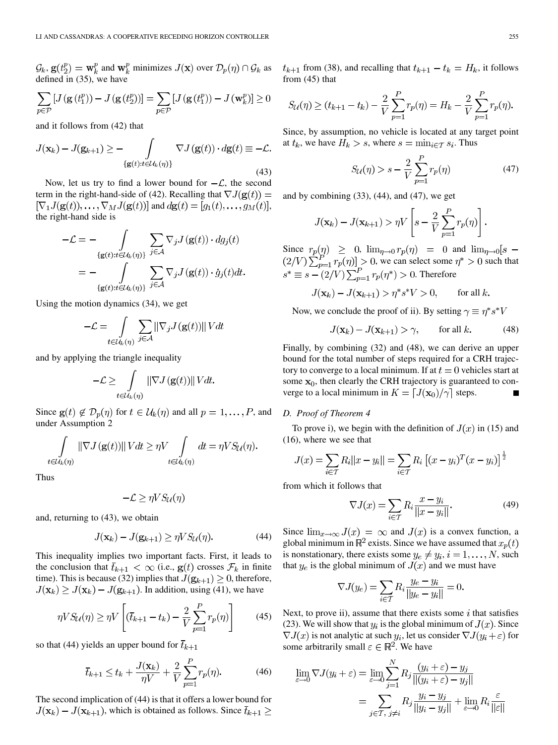$\mathcal{G}_k$ ,  $\mathbf{g}(t_2^p) = \mathbf{w}_k^p$  and  $\mathbf{w}_k^p$  minimizes  $J(\mathbf{x})$  over  $\mathcal{D}_p(\eta) \cap \mathcal{G}_k$  as defined in (35), we have

$$
\sum_{p \in \mathcal{P}} \left[ J\left(\mathbf{g}\left(t_1^p\right)\right) - J\left(\mathbf{g}\left(t_2^p\right)\right) \right] = \sum_{p \in \mathcal{P}} \left[ J\left(\mathbf{g}\left(t_1^p\right)\right) - J\left(\mathbf{w}_k^p\right) \right] \ge 0
$$

and it follows from (42) that

$$
J(\mathbf{x}_k) - J(\mathbf{g}_{k+1}) \ge - \int_{\{\mathbf{g}(t): t \in \mathcal{U}_k(\eta)\}} \nabla J(\mathbf{g}(t)) \cdot d\mathbf{g}(t) \equiv -\mathcal{L}.
$$
\n(43)

Now, let us try to find a lower bound for  $-\mathcal{L}$ , the second term in the right-hand-side of (42). Recalling that  $\nabla J(\mathbf{g}(t)) =$  $[\nabla_1 J(\mathbf{g}(t)), \ldots, \nabla_M J(\mathbf{g}(t))]$  and  $d\mathbf{g}(t) = [g_1(t), \ldots, g_M(t)],$ the right-hand side is

$$
-\mathcal{L} = - \int_{\{g(t):t \in \mathcal{U}_k(\eta)\}} \sum_{j \in \mathcal{A}} \nabla_j J(g(t)) \cdot dg_j(t)
$$
  
= 
$$
- \int_{\{g(t):t \in \mathcal{U}_k(\eta)\}} \sum_{j \in \mathcal{A}} \nabla_j J(g(t)) \cdot \dot{g}_j(t) dt.
$$

Using the motion dynamics (34), we get

$$
-\mathcal{L} = \int\limits_{t \in \mathcal{U}_k(\eta)} \sum_{j \in \mathcal{A}} \|\nabla_j J(\mathbf{g}(t))\| V dt
$$

and by applying the triangle inequality

$$
-\mathcal{L} \geq \int\limits_{t \in \mathcal{U}_k(\eta)} \|\nabla J(\mathbf{g}(t))\| \, V dt.
$$

Since  $g(t) \notin \mathcal{D}_p(\eta)$  for  $t \in \mathcal{U}_k(\eta)$  and all  $p = 1, ..., P$ , and under Assumption 2

$$
\int_{t \in \mathcal{U}_k(\eta)} ||\nabla J(\mathbf{g}(t))|| V dt \ge \eta V \int_{t \in \mathcal{U}_k(\eta)} dt = \eta V S_{\mathcal{U}}(\eta).
$$

Thus

$$
-\mathcal{L} \ge \eta VS_{\mathcal{U}}(\eta)
$$

and, returning to (43), we obtain

$$
J(\mathbf{x}_k) - J(\mathbf{g}_{k+1}) \ge \eta V S_{\mathcal{U}}(\eta). \tag{44}
$$

This inequality implies two important facts. First, it leads to the conclusion that  $\bar{t}_{k+1} < \infty$  (i.e.,  $g(t)$  crosses  $\mathcal{F}_k$  in finite time). This is because (32) implies that  $J(\mathbf{g}_{k+1}) \geq 0$ , therefore,  $J(\mathbf{x}_k) \geq J(\mathbf{x}_k) - J(\mathbf{g}_{k+1})$ . In addition, using (41), we have

$$
\eta VS_{\mathcal{U}}(\eta) \ge \eta V \left[ (\bar{t}_{k+1} - t_k) - \frac{2}{V} \sum_{p=1}^{P} r_p(\eta) \right] \tag{45}
$$

so that (44) yields an upper bound for  $\bar{t}_{k+1}$ 

$$
\bar{t}_{k+1} \le t_k + \frac{J(\mathbf{x}_k)}{\eta V} + \frac{2}{V} \sum_{p=1}^P r_p(\eta). \tag{46}
$$

The second implication of (44) is that it offers a lower bound for  $J(\mathbf{x}_k) - J(\mathbf{x}_{k+1})$ , which is obtained as follows. Since  $\bar{t}_{k+1} \geq$   $t_{k+1}$  from (38), and recalling that  $t_{k+1} - t_k = H_k$ , it follows from (45) that

$$
S_{\mathcal{U}}(\eta) \ge (t_{k+1} - t_k) - \frac{2}{V} \sum_{p=1}^{P} r_p(\eta) = H_k - \frac{2}{V} \sum_{p=1}^{P} r_p(\eta).
$$

Since, by assumption, no vehicle is located at any target point at  $t_k$ , we have  $H_k > s$ , where  $s = \min_{i \in \mathcal{T}} s_i$ . Thus

$$
S_{\mathcal{U}}(\eta) > s - \frac{2}{V} \sum_{p=1}^{P} r_p(\eta)
$$
 (47)

and by combining  $(33)$ ,  $(44)$ , and  $(47)$ , we get

$$
J(\mathbf{x}_k) - J(\mathbf{x}_{k+1}) > \eta V \left[ s - \frac{2}{V} \sum_{p=1}^P r_p(\eta) \right].
$$

Since  $r_p(\eta) \geq 0$ ,  $\lim_{\eta \to 0} r_p(\eta) = 0$  and , we can select some  $\eta^* > 0$  such that . Therefore

$$
J(\mathbf{x}_k) - J(\mathbf{x}_{k+1}) > \eta^* s^* V > 0, \qquad \text{for all } k.
$$

Now, we conclude the proof of ii). By setting  $\gamma \equiv \eta^* s^* V$ 

$$
J(\mathbf{x}_k) - J(\mathbf{x}_{k+1}) > \gamma, \qquad \text{for all } k. \tag{48}
$$

Finally, by combining (32) and (48), we can derive an upper bound for the total number of steps required for a CRH trajectory to converge to a local minimum. If at  $t = 0$  vehicles start at some  $x_0$ , then clearly the CRH trajectory is guaranteed to converge to a local minimum in  $K = [J(\mathbf{x}_0)/\gamma]$  steps. Г

## *D. Proof of Theorem 4*

To prove i), we begin with the definition of  $J(x)$  in (15) and (16), where we see that

$$
J(x) = \sum_{i \in \mathcal{T}} R_i ||x - y_i|| = \sum_{i \in \mathcal{T}} R_i [(x - y_i)^T (x - y_i)]^{\frac{1}{2}}
$$

from which it follows that

$$
\nabla J(x) = \sum_{i \in \mathcal{T}} R_i \frac{x - y_i}{\|x - y_i\|}.
$$
 (49)

Since  $\lim_{x\to\infty} J(x) = \infty$  and  $J(x)$  is a convex function, a global minimum in  $\mathbb{R}^2$  exists. Since we have assumed that  $x_p(t)$ is nonstationary, there exists some  $y_e \neq y_i$ ,  $i = 1, \ldots, N$ , such that  $y_e$  is the global minimum of  $J(x)$  and we must have

$$
\nabla J(y_e) = \sum_{i \in \mathcal{T}} R_i \frac{y_e - y_i}{||y_e - y_i||} = 0.
$$

Next, to prove ii), assume that there exists some  $i$  that satisfies (23). We will show that  $y_i$  is the global minimum of  $J(x)$ . Since  $\nabla J(x)$  is not analytic at such  $y_i$ , let us consider  $\nabla J(y_i + \varepsilon)$  for some arbitrarily small  $\varepsilon \in \mathbb{R}^2$ . We have

$$
\lim_{\varepsilon \to 0} \nabla J(y_i + \varepsilon) = \lim_{\varepsilon \to 0} \sum_{j=1}^N R_j \frac{(y_i + \varepsilon) - y_j}{\|(y_i + \varepsilon) - y_j\|}
$$

$$
= \sum_{j \in \mathcal{T}, j \neq i} R_j \frac{y_i - y_j}{\|y_i - y_j\|} + \lim_{\varepsilon \to 0} R_i \frac{\varepsilon}{\|\varepsilon\|}
$$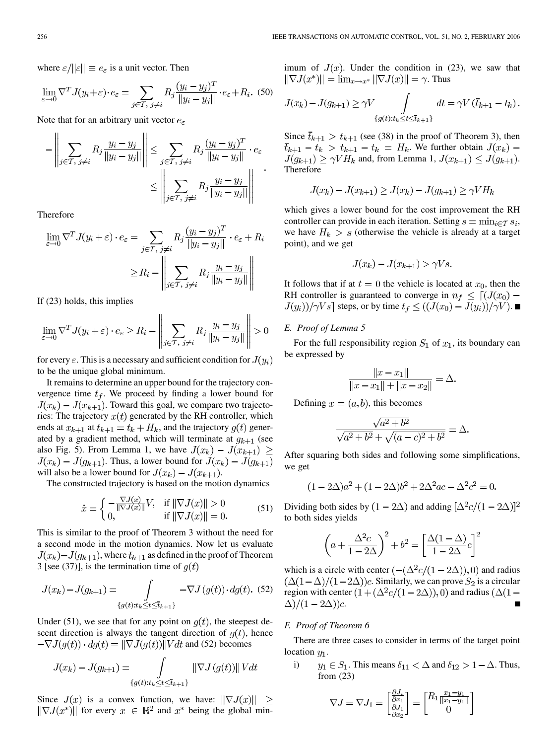where  $\varepsilon/||\varepsilon|| \equiv e_{\varepsilon}$  is a unit vector. Then

$$
\lim_{\varepsilon \to 0} \nabla^T J(y_i + \varepsilon) \cdot e_{\varepsilon} = \sum_{j \in \mathcal{T}, j \neq i} R_j \frac{(y_i - y_j)^T}{\|y_i - y_j\|} \cdot e_{\varepsilon} + R_i. \tag{50}
$$

 $\overline{11}$ 

 $\sqrt{m}$ 

Note that for an arbitrary unit vector  $e_{\epsilon}$ 

$$
-\left\|\sum_{j\in\mathcal{T},\ j\neq i}R_j\frac{y_i-y_j}{\|y_i-y_j\|}\right\| \le \sum_{\substack{j\in\mathcal{T},\ j\neq i}}R_j\frac{(y_i-y_j)^T}{\|y_i-y_j\|}\cdot e_{\varepsilon}
$$

$$
\le \left\|\sum_{j\in\mathcal{T},\ j\neq i}R_j\frac{y_i-y_j}{\|y_i-y_j\|}\right\|.
$$

Therefore

 $\overline{11}$ 

$$
\lim_{\varepsilon \to 0} \nabla^T J(y_i + \varepsilon) \cdot e_{\varepsilon} = \sum_{j \in \mathcal{T}, j \neq i} R_j \frac{(y_i - y_j)^T}{\|y_i - y_j\|} \cdot e_{\varepsilon} + R_i
$$

$$
\geq R_i - \left\| \sum_{j \in \mathcal{T}, j \neq i} R_j \frac{y_i - y_j}{\|y_i - y_j\|} \right\|
$$

If (23) holds, this implies

$$
\lim_{\varepsilon \to 0} \nabla^T J(y_i + \varepsilon) \cdot e_{\varepsilon} \ge R_i - \left\| \sum_{j \in T, j \neq i} R_j \frac{y_i - y_j}{\|y_i - y_j\|} \right\| > 0
$$

for every  $\varepsilon$ . This is a necessary and sufficient condition for  $J(y_i)$ to be the unique global minimum.

It remains to determine an upper bound for the trajectory convergence time  $t_f$ . We proceed by finding a lower bound for  $J(x_k) - J(x_{k+1})$ . Toward this goal, we compare two trajectories: The trajectory  $x(t)$  generated by the RH controller, which ends at  $x_{k+1}$  at  $t_{k+1} = t_k + H_k$ , and the trajectory  $g(t)$  generated by a gradient method, which will terminate at  $g_{k+1}$  (see also Fig. 5). From Lemma 1, we have  $J(x_k) - J(x_{k+1}) \ge$  $J(x_k) - J(g_{k+1})$ . Thus, a lower bound for  $J(x_k) - J(g_{k+1})$ will also be a lower bound for  $J(x_k) - J(x_{k+1})$ .

The constructed trajectory is based on the motion dynamics

$$
\dot{x} = \begin{cases}\n-\frac{\nabla J(x)}{\|\nabla J(x)\|} V, & \text{if } \|\nabla J(x)\| > 0 \\
0, & \text{if } \|\nabla J(x)\| = 0.\n\end{cases}
$$
\n(51)

This is similar to the proof of Theorem 3 without the need for a second mode in the motion dynamics. Now let us evaluate  $J(x_k) - J(g_{k+1})$ , where  $\bar{t}_{k+1}$  as defined in the proof of Theorem 3 [see (37)], is the termination time of  $q(t)$ 

$$
J(x_k) - J(g_{k+1}) = \int_{\{g(t): t_k \le t \le \bar{t}_{k+1}\}} -\nabla J(g(t)) \cdot dg(t). \tag{52}
$$

Under (51), we see that for any point on  $q(t)$ , the steepest descent direction is always the tangent direction of  $q(t)$ , hence  $-\nabla J(g(t)) \cdot dg(t) = ||\nabla J(g(t))||Vdt$  and (52) becomes

$$
J(x_k) - J(g_{k+1}) = \int_{\{g(t): t_k \le t \le \overline{t}_{k+1}\}} ||\nabla J(g(t))|| V dt
$$

Since  $J(x)$  is a convex function, we have:  $\|\nabla J(x)\|$  >  $\|\nabla J(x^*)\|$  for every  $x \in \mathbb{R}^2$  and  $x^*$  being the global minimum of  $J(x)$ . Under the condition in (23), we saw that  $\|\nabla J(x^*)\| = \lim_{x\to x^*} \|\nabla J(x)\| = \gamma$ . Thus

$$
J(x_k) - J(g_{k+1}) \ge \gamma V \int \{g(t): t_k \le t \le \bar{t}_{k+1}\} dt = \gamma V(\bar{t}_{k+1} - t_k).
$$

Since  $\bar{t}_{k+1} > t_{k+1}$  (see (38) in the proof of Theorem 3), then  $\bar{t}_{k+1} - t_k > t_{k+1} - t_k = H_k$ . We further obtain  $J(x_k)$  –  $J(g_{k+1}) \ge \gamma V H_k$  and, from Lemma 1,  $J(x_{k+1}) \le J(g_{k+1})$ . Therefore

$$
J(x_k) - J(x_{k+1}) \ge J(x_k) - J(g_{k+1}) \ge \gamma V H_k
$$

which gives a lower bound for the cost improvement the RH controller can provide in each iteration. Setting  $s = \min_{i \in \mathcal{T}} s_i$ , we have  $H_k > s$  (otherwise the vehicle is already at a target point), and we get

$$
J(x_k) - J(x_{k+1}) > \gamma V s.
$$

It follows that if at  $t=0$  the vehicle is located at  $x_0$ , then the RH controller is guaranteed to converge in  $n_f \leq \lfloor (J(x_0) J(y_i)/\gamma Vs$  steps, or by time  $t_f \leq ((J(x_0) - J(y_i))/\gamma V)$ .

# *E. Proof of Lemma 5*

For the full responsibility region  $S_1$  of  $x_1$ , its boundary can be expressed by

$$
\frac{||x - x_1||}{||x - x_1|| + ||x - x_2||} = \Delta.
$$

Defining  $x = (a, b)$ , this becomes

$$
\frac{\sqrt{a^2 + b^2}}{\sqrt{a^2 + b^2} + \sqrt{(a - c)^2 + b^2}} = \Delta.
$$

After squaring both sides and following some simplifications, we get

$$
(1 - 2\Delta)a^{2} + (1 - 2\Delta)b^{2} + 2\Delta^{2}ac - \Delta^{2}c^{2} = 0.
$$

Dividing both sides by  $(1 - 2\Delta)$  and adding  $[\Delta^2 c/(1 - 2\Delta)]^2$ to both sides yields

$$
\left(a + \frac{\Delta^2 c}{1 - 2\Delta}\right)^2 + b^2 = \left[\frac{\Delta(1 - \Delta)}{1 - 2\Delta}c\right]^2
$$

which is a circle with center  $\left(-(\Delta^2 c/(1-2\Delta)), 0\right)$  and radius  $(\Delta(1-\Delta)/(1-2\Delta))c$ . Similarly, we can prove  $S_2$  is a circular region with center  $(1 + (\Delta^2 c/(1 - 2\Delta)), 0)$  and radius  $(\Delta(1 \Delta)/(1-2\Delta)$ )c. П

## *F. Proof of Theorem 6*

There are three cases to consider in terms of the target point location  $y_1$ .

i)  $y_1 \in S_1$ . This means  $\delta_{11} < \Delta$  and  $\delta_{12} > 1 - \Delta$ . Thus, from (23)

$$
\nabla J = \nabla J_1 = \begin{bmatrix} \frac{\partial J_i}{\partial x_1} \\ \frac{\partial J_1}{\partial x_2} \end{bmatrix} = \begin{bmatrix} R_1 \frac{x_1 - y_1}{\|x_1 - y_1\|} \\ 0 \end{bmatrix}
$$